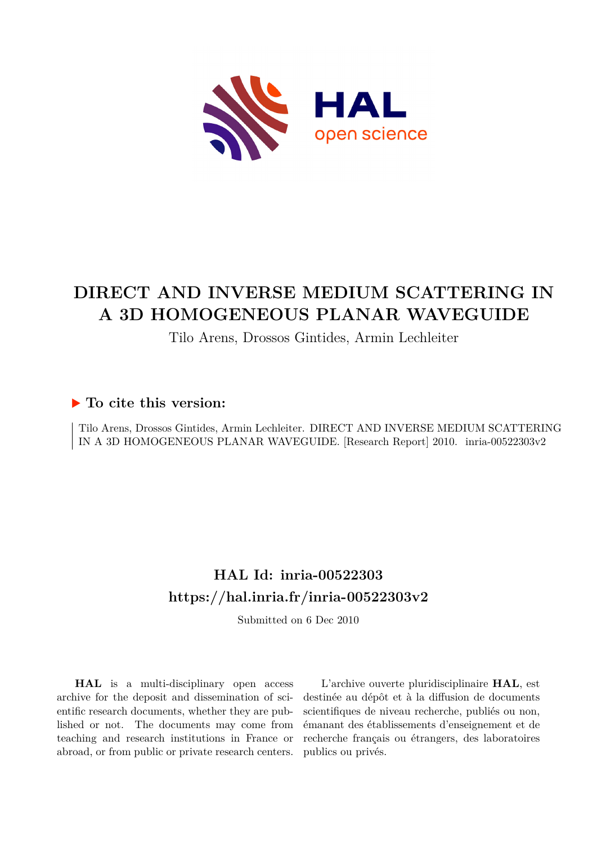

# **DIRECT AND INVERSE MEDIUM SCATTERING IN A 3D HOMOGENEOUS PLANAR WAVEGUIDE**

Tilo Arens, Drossos Gintides, Armin Lechleiter

### **To cite this version:**

Tilo Arens, Drossos Gintides, Armin Lechleiter. DIRECT AND INVERSE MEDIUM SCATTERING IN A 3D HOMOGENEOUS PLANAR WAVEGUIDE. [Research Report] 2010. inria-00522303v2

## **HAL Id: inria-00522303 <https://hal.inria.fr/inria-00522303v2>**

Submitted on 6 Dec 2010

**HAL** is a multi-disciplinary open access archive for the deposit and dissemination of scientific research documents, whether they are published or not. The documents may come from teaching and research institutions in France or abroad, or from public or private research centers.

L'archive ouverte pluridisciplinaire **HAL**, est destinée au dépôt et à la diffusion de documents scientifiques de niveau recherche, publiés ou non, émanant des établissements d'enseignement et de recherche français ou étrangers, des laboratoires publics ou privés.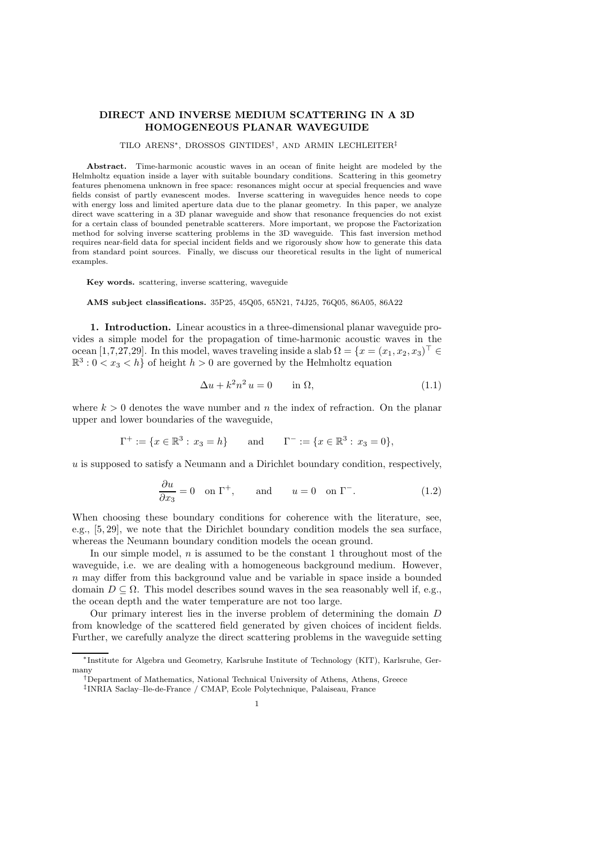### DIRECT AND INVERSE MEDIUM SCATTERING IN A 3D HOMOGENEOUS PLANAR WAVEGUIDE

TILO ARENS∗, DROSSOS GINTIDES† , AND ARMIN LECHLEITER‡

Abstract. Time-harmonic acoustic waves in an ocean of finite height are modeled by the Helmholtz equation inside a layer with suitable boundary conditions. Scattering in this geometry features phenomena unknown in free space: resonances might occur at special frequencies and wave fields consist of partly evanescent modes. Inverse scattering in waveguides hence needs to cope with energy loss and limited aperture data due to the planar geometry. In this paper, we analyze direct wave scattering in a 3D planar waveguide and show that resonance frequencies do not exist for a certain class of bounded penetrable scatterers. More important, we propose the Factorization method for solving inverse scattering problems in the 3D waveguide. This fast inversion method requires near-field data for special incident fields and we rigorously show how to generate this data from standard point sources. Finally, we discuss our theoretical results in the light of numerical examples.

Key words. scattering, inverse scattering, waveguide

AMS subject classifications. 35P25, 45Q05, 65N21, 74J25, 76Q05, 86A05, 86A22

1. Introduction. Linear acoustics in a three-dimensional planar waveguide provides a simple model for the propagation of time-harmonic acoustic waves in the ocean [1,7,27,29]. In this model, waves traveling inside a slab  $\Omega = \{x = (x_1, x_2, x_3)^\top \in \mathbb{R}^3 : |x_1 - x_2| \leq x_1\}$  $\mathbb{R}^3$ :  $0 < x_3 < h$  of height  $h > 0$  are governed by the Helmholtz equation

$$
\Delta u + k^2 n^2 u = 0 \qquad \text{in } \Omega,\tag{1.1}
$$

where  $k > 0$  denotes the wave number and n the index of refraction. On the planar upper and lower boundaries of the waveguide,

$$
\Gamma^+ := \{x \in \mathbb{R}^3 : x_3 = h\}
$$
 and  $\Gamma^- := \{x \in \mathbb{R}^3 : x_3 = 0\},\$ 

 $u$  is supposed to satisfy a Neumann and a Dirichlet boundary condition, respectively,

$$
\frac{\partial u}{\partial x_3} = 0 \quad \text{on } \Gamma^+, \qquad \text{and} \qquad u = 0 \quad \text{on } \Gamma^-. \tag{1.2}
$$

When choosing these boundary conditions for coherence with the literature, see, e.g., [5, 29], we note that the Dirichlet boundary condition models the sea surface, whereas the Neumann boundary condition models the ocean ground.

In our simple model,  $n$  is assumed to be the constant 1 throughout most of the waveguide, i.e. we are dealing with a homogeneous background medium. However, n may differ from this background value and be variable in space inside a bounded domain  $D \subseteq \Omega$ . This model describes sound waves in the sea reasonably well if, e.g., the ocean depth and the water temperature are not too large.

Our primary interest lies in the inverse problem of determining the domain D from knowledge of the scattered field generated by given choices of incident fields. Further, we carefully analyze the direct scattering problems in the waveguide setting

<sup>∗</sup> Institute for Algebra und Geometry, Karlsruhe Institute of Technology (KIT), Karlsruhe, Germany

<sup>†</sup>Department of Mathematics, National Technical University of Athens, Athens, Greece

<sup>‡</sup> INRIA Saclay–Ile-de-France / CMAP, Ecole Polytechnique, Palaiseau, France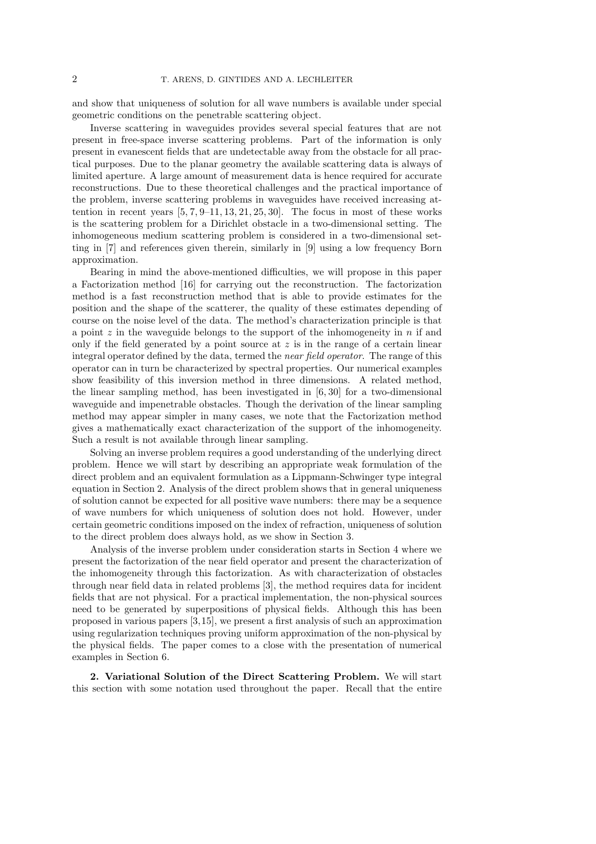and show that uniqueness of solution for all wave numbers is available under special geometric conditions on the penetrable scattering object.

Inverse scattering in waveguides provides several special features that are not present in free-space inverse scattering problems. Part of the information is only present in evanescent fields that are undetectable away from the obstacle for all practical purposes. Due to the planar geometry the available scattering data is always of limited aperture. A large amount of measurement data is hence required for accurate reconstructions. Due to these theoretical challenges and the practical importance of the problem, inverse scattering problems in waveguides have received increasing attention in recent years  $[5, 7, 9-11, 13, 21, 25, 30]$ . The focus in most of these works is the scattering problem for a Dirichlet obstacle in a two-dimensional setting. The inhomogeneous medium scattering problem is considered in a two-dimensional setting in [7] and references given therein, similarly in [9] using a low frequency Born approximation.

Bearing in mind the above-mentioned difficulties, we will propose in this paper a Factorization method [16] for carrying out the reconstruction. The factorization method is a fast reconstruction method that is able to provide estimates for the position and the shape of the scatterer, the quality of these estimates depending of course on the noise level of the data. The method's characterization principle is that a point  $z$  in the waveguide belongs to the support of the inhomogeneity in  $n$  if and only if the field generated by a point source at  $z$  is in the range of a certain linear integral operator defined by the data, termed the *near field operator*. The range of this operator can in turn be characterized by spectral properties. Our numerical examples show feasibility of this inversion method in three dimensions. A related method, the linear sampling method, has been investigated in [6, 30] for a two-dimensional waveguide and impenetrable obstacles. Though the derivation of the linear sampling method may appear simpler in many cases, we note that the Factorization method gives a mathematically exact characterization of the support of the inhomogeneity. Such a result is not available through linear sampling.

Solving an inverse problem requires a good understanding of the underlying direct problem. Hence we will start by describing an appropriate weak formulation of the direct problem and an equivalent formulation as a Lippmann-Schwinger type integral equation in Section 2. Analysis of the direct problem shows that in general uniqueness of solution cannot be expected for all positive wave numbers: there may be a sequence of wave numbers for which uniqueness of solution does not hold. However, under certain geometric conditions imposed on the index of refraction, uniqueness of solution to the direct problem does always hold, as we show in Section 3.

Analysis of the inverse problem under consideration starts in Section 4 where we present the factorization of the near field operator and present the characterization of the inhomogeneity through this factorization. As with characterization of obstacles through near field data in related problems [3], the method requires data for incident fields that are not physical. For a practical implementation, the non-physical sources need to be generated by superpositions of physical fields. Although this has been proposed in various papers [3,15], we present a first analysis of such an approximation using regularization techniques proving uniform approximation of the non-physical by the physical fields. The paper comes to a close with the presentation of numerical examples in Section 6.

2. Variational Solution of the Direct Scattering Problem. We will start this section with some notation used throughout the paper. Recall that the entire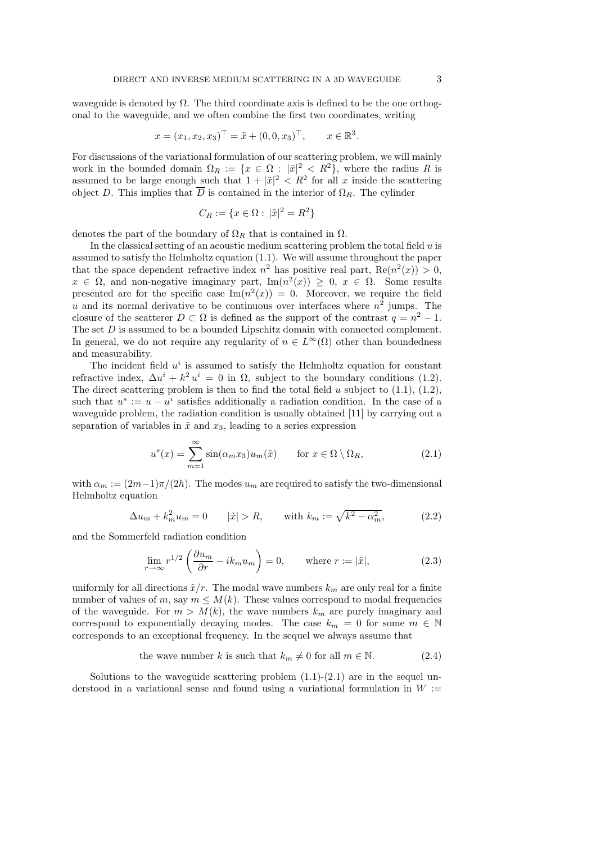waveguide is denoted by  $\Omega$ . The third coordinate axis is defined to be the one orthogonal to the waveguide, and we often combine the first two coordinates, writing

$$
x = (x_1, x_2, x_3)^{\top} = \tilde{x} + (0, 0, x_3)^{\top}, \quad x \in \mathbb{R}^3.
$$

For discussions of the variational formulation of our scattering problem, we will mainly work in the bounded domain  $\Omega_R := \{x \in \Omega : |\tilde{x}|^2 < R^2\}$ , where the radius R is assumed to be large enough such that  $1 + |\tilde{x}|^2 < R^2$  for all x inside the scattering object D. This implies that  $\overline{D}$  is contained in the interior of  $\Omega_R$ . The cylinder

$$
C_R := \{ x \in \Omega : |\tilde{x}|^2 = R^2 \}
$$

denotes the part of the boundary of  $\Omega_R$  that is contained in  $\Omega$ .

In the classical setting of an acoustic medium scattering problem the total field  $u$  is assumed to satisfy the Helmholtz equation (1.1). We will assume throughout the paper that the space dependent refractive index  $n^2$  has positive real part,  $\text{Re}(n^2(x)) > 0$ ,  $x \in \Omega$ , and non-negative imaginary part,  $\text{Im}(n^2(x)) \geq 0$ ,  $x \in \Omega$ . Some results presented are for the specific case  $\text{Im}(n^2(x)) = 0$ . Moreover, we require the field u and its normal derivative to be continuous over interfaces where  $n^2$  jumps. The closure of the scatterer  $D \subset \Omega$  is defined as the support of the contrast  $q = n^2 - 1$ . The set  $D$  is assumed to be a bounded Lipschitz domain with connected complement. In general, we do not require any regularity of  $n \in L^{\infty}(\Omega)$  other than boundedness and measurability.

The incident field  $u^i$  is assumed to satisfy the Helmholtz equation for constant refractive index,  $\Delta u^i + k^2 u^i = 0$  in  $\Omega$ , subject to the boundary conditions (1.2). The direct scattering problem is then to find the total field u subject to  $(1.1)$ ,  $(1.2)$ , such that  $u^s := u - u^i$  satisfies additionally a radiation condition. In the case of a waveguide problem, the radiation condition is usually obtained [11] by carrying out a separation of variables in  $\tilde{x}$  and  $x_3$ , leading to a series expression

$$
u^{s}(x) = \sum_{m=1}^{\infty} \sin(\alpha_m x_3) u_m(\tilde{x}) \quad \text{for } x \in \Omega \setminus \Omega_R,
$$
 (2.1)

with  $\alpha_m := (2m-1)\pi/(2h)$ . The modes  $u_m$  are required to satisfy the two-dimensional Helmholtz equation

$$
\Delta u_m + k_m^2 u_m = 0 \qquad |\tilde{x}| > R, \qquad \text{with } k_m := \sqrt{k^2 - \alpha_m^2}, \tag{2.2}
$$

and the Sommerfeld radiation condition

$$
\lim_{r \to \infty} r^{1/2} \left( \frac{\partial u_m}{\partial r} - i k_m u_m \right) = 0, \quad \text{where } r := |\tilde{x}|,
$$
\n(2.3)

uniformly for all directions  $\tilde{x}/r$ . The modal wave numbers  $k_m$  are only real for a finite number of values of m, say  $m \leq M(k)$ . These values correspond to modal frequencies of the waveguide. For  $m > M(k)$ , the wave numbers  $k_m$  are purely imaginary and correspond to exponentially decaying modes. The case  $k_m = 0$  for some  $m \in \mathbb{N}$ corresponds to an exceptional frequency. In the sequel we always assume that

the wave number k is such that 
$$
k_m \neq 0
$$
 for all  $m \in \mathbb{N}$ . (2.4)

Solutions to the waveguide scattering problem  $(1.1)-(2.1)$  are in the sequel understood in a variational sense and found using a variational formulation in  $W :=$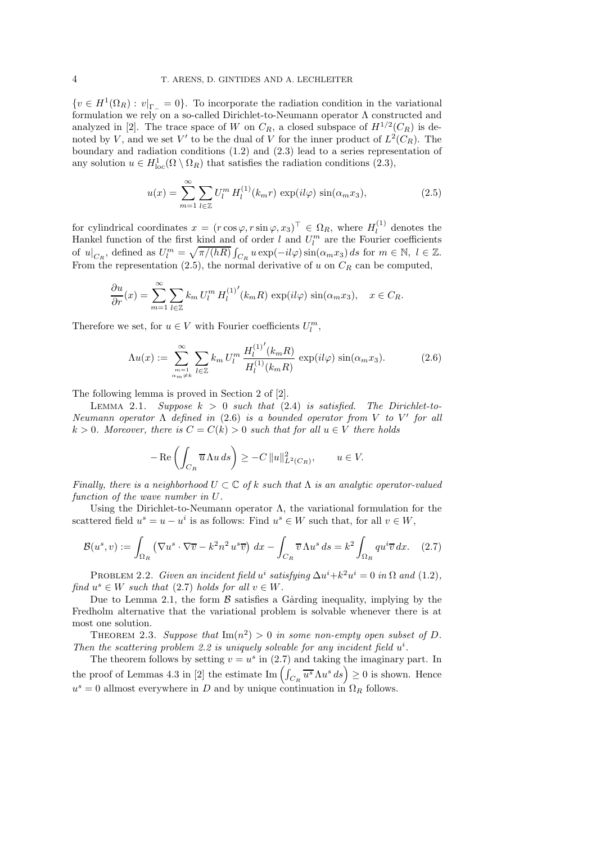${v \in H^1(\Omega_R) : v|_{\Gamma_-} = 0}.$  To incorporate the radiation condition in the variational formulation we rely on a so-called Dirichlet-to-Neumann operator Λ constructed and analyzed in [2]. The trace space of W on  $C_R$ , a closed subspace of  $H^{1/2}(C_R)$  is denoted by V, and we set V' to be the dual of V for the inner product of  $L^2(C_R)$ . The boundary and radiation conditions (1.2) and (2.3) lead to a series representation of any solution  $u \in H^1_{loc}(\Omega \setminus \Omega_R)$  that satisfies the radiation conditions (2.3),

$$
u(x) = \sum_{m=1}^{\infty} \sum_{l \in \mathbb{Z}} U_l^m H_l^{(1)}(k_m r) \exp(il\varphi) \sin(\alpha_m x_3), \qquad (2.5)
$$

for cylindrical coordinates  $x = (r \cos \varphi, r \sin \varphi, x_3)^\top \in \Omega_R$ , where  $H_l^{(1)}$  $\ell_l^{(1)}$  denotes the Hankel function of the first kind and of order  $l$  and  $U_l^m$  are the Fourier coefficients of  $u|_{C_R}$ , defined as  $U_l^m = \sqrt{\pi/(hR)} \int_{C_R} u \exp(-il\varphi) \sin(\alpha_m x_3) ds$  for  $m \in \mathbb{N}, l \in \mathbb{Z}$ . From the representation (2.5), the normal derivative of u on  $C_R$  can be computed,

$$
\frac{\partial u}{\partial r}(x) = \sum_{m=1}^{\infty} \sum_{l \in \mathbb{Z}} k_m U_l^m H_l^{(1)'}(k_m R) \exp(il\varphi) \sin(\alpha_m x_3), \quad x \in C_R.
$$

Therefore we set, for  $u \in V$  with Fourier coefficients  $U_l^m$ ,

$$
\Lambda u(x) := \sum_{\substack{m=1 \ \alpha m \neq k}}^{\infty} \sum_{l \in \mathbb{Z}} k_m U_l^m \, \frac{H_l^{(1)'}(k_m R)}{H_l^{(1)}(k_m R)} \, \exp(il\varphi) \, \sin(\alpha_m x_3). \tag{2.6}
$$

The following lemma is proved in Section 2 of [2].

LEMMA 2.1. *Suppose*  $k > 0$  *such that* (2.4) *is satisfied. The Dirichlet-to-Neumann operator* Λ *defined in* (2.6) *is a bounded operator from* V *to* V ′ *for all*  $k > 0$ *. Moreover, there is*  $C = C(k) > 0$  *such that for all*  $u \in V$  *there holds* 

$$
-\operatorname{Re}\left(\int_{C_R} \overline{u} \Lambda u \, ds\right) \ge -C \|u\|_{L^2(C_R)}^2, \qquad u \in V.
$$

*Finally, there is a neighborhood*  $U \subset \mathbb{C}$  *of* k *such that*  $\Lambda$  *is an analytic operator-valued function of the wave number in* U*.*

Using the Dirichlet-to-Neumann operator  $\Lambda$ , the variational formulation for the scattered field  $u^s = u - u^i$  is as follows: Find  $u^s \in W$  such that, for all  $v \in W$ ,

$$
\mathcal{B}(u^s, v) := \int_{\Omega_R} \left( \nabla u^s \cdot \nabla \overline{v} - k^2 n^2 u^s \overline{v} \right) dx - \int_{C_R} \overline{v} \Lambda u^s ds = k^2 \int_{\Omega_R} q u^i \overline{v} dx. \quad (2.7)
$$

PROBLEM 2.2. *Given an incident field*  $u^i$  satisfying  $\Delta u^i + k^2 u^i = 0$  in  $\Omega$  and (1.2), *find*  $u^s \in W$  *such that* (2.7) *holds for all*  $v \in W$ *.* 

Due to Lemma 2.1, the form  $\beta$  satisfies a Gårding inequality, implying by the Fredholm alternative that the variational problem is solvable whenever there is at most one solution.

THEOREM 2.3. Suppose that  $\text{Im}(n^2) > 0$  in some non-empty open subset of D. Then the scattering problem 2.2 is uniquely solvable for any incident field  $u^i$ .

The theorem follows by setting  $v = u^s$  in (2.7) and taking the imaginary part. In the proof of Lemmas 4.3 in [2] the estimate  $\text{Im}\left(\int_{C_R} \overline{u^s} \Lambda u^s ds\right) \geq 0$  is shown. Hence  $u^s = 0$  allmost everywhere in D and by unique continuation in  $\Omega_R$  follows.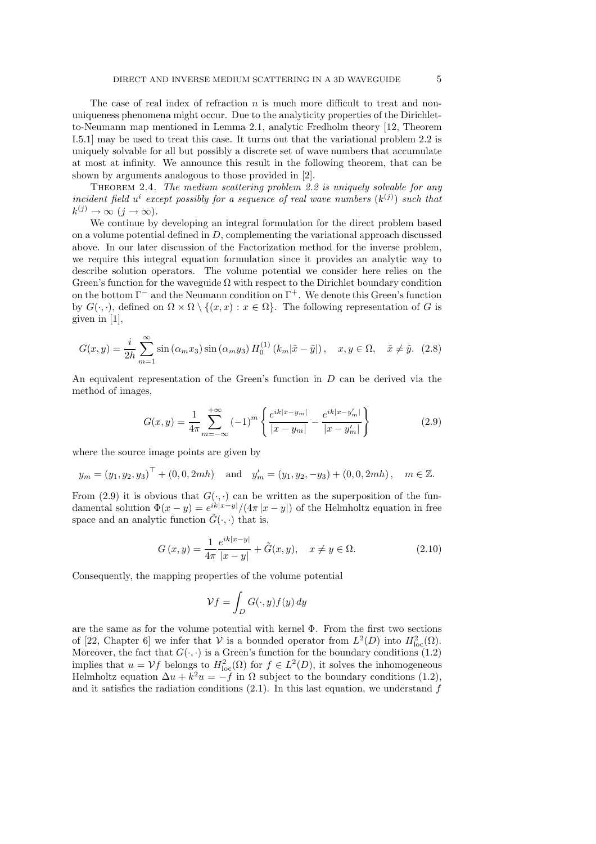The case of real index of refraction  $n$  is much more difficult to treat and nonuniqueness phenomena might occur. Due to the analyticity properties of the Dirichletto-Neumann map mentioned in Lemma 2.1, analytic Fredholm theory [12, Theorem I.5.1] may be used to treat this case. It turns out that the variational problem 2.2 is uniquely solvable for all but possibly a discrete set of wave numbers that accumulate at most at infinity. We announce this result in the following theorem, that can be shown by arguments analogous to those provided in [2].

Theorem 2.4. *The medium scattering problem 2.2 is uniquely solvable for any incident field*  $u^i$  except possibly for a sequence of real wave numbers  $(k^{(j)})$  such that  $k^{(j)} \to \infty \ (j \to \infty)$ .

We continue by developing an integral formulation for the direct problem based on a volume potential defined in  $D$ , complementing the variational approach discussed above. In our later discussion of the Factorization method for the inverse problem, we require this integral equation formulation since it provides an analytic way to describe solution operators. The volume potential we consider here relies on the Green's function for the waveguide  $\Omega$  with respect to the Dirichlet boundary condition on the bottom  $\Gamma^-$  and the Neumann condition on  $\Gamma^+$ . We denote this Green's function by  $G(\cdot, \cdot)$ , defined on  $\Omega \times \Omega \setminus \{(x, x) : x \in \Omega\}$ . The following representation of G is given in [1],

$$
G(x,y) = \frac{i}{2h} \sum_{m=1}^{\infty} \sin(\alpha_m x_3) \sin(\alpha_m y_3) H_0^{(1)}(k_m|\tilde{x} - \tilde{y}|), \quad x, y \in \Omega, \quad \tilde{x} \neq \tilde{y}. \tag{2.8}
$$

An equivalent representation of the Green's function in  $D$  can be derived via the method of images,

$$
G(x,y) = \frac{1}{4\pi} \sum_{m=-\infty}^{+\infty} (-1)^m \left\{ \frac{e^{ik|x-y_m|}}{|x-y_m|} - \frac{e^{ik|x-y_m'|}}{|x-y_m'|} \right\}
$$
(2.9)

where the source image points are given by

$$
y_m = (y_1, y_2, y_3)^{\top} + (0, 0, 2mh)
$$
 and  $y'_m = (y_1, y_2, -y_3) + (0, 0, 2mh)$ ,  $m \in \mathbb{Z}$ .

From (2.9) it is obvious that  $G(\cdot, \cdot)$  can be written as the superposition of the fundamental solution  $\Phi(x-y) = e^{ik|x-y|}/(4\pi |x-y|)$  of the Helmholtz equation in free space and an analytic function  $\tilde{G}(\cdot, \cdot)$  that is,

$$
G(x,y) = \frac{1}{4\pi} \frac{e^{ik|x-y|}}{|x-y|} + \tilde{G}(x,y), \quad x \neq y \in \Omega.
$$
 (2.10)

Consequently, the mapping properties of the volume potential

$$
\mathcal{V}f = \int_D G(\cdot,y)f(y)\,dy
$$

are the same as for the volume potential with kernel Φ. From the first two sections of [22, Chapter 6] we infer that  $V$  is a bounded operator from  $L^2(D)$  into  $H^2_{loc}(\Omega)$ . Moreover, the fact that  $G(\cdot, \cdot)$  is a Green's function for the boundary conditions (1.2) implies that  $u = Vf$  belongs to  $H^2_{loc}(\Omega)$  for  $f \in L^2(D)$ , it solves the inhomogeneous Helmholtz equation  $\Delta u + k^2 u = -f$  in  $\Omega$  subject to the boundary conditions (1.2), and it satisfies the radiation conditions  $(2.1)$ . In this last equation, we understand f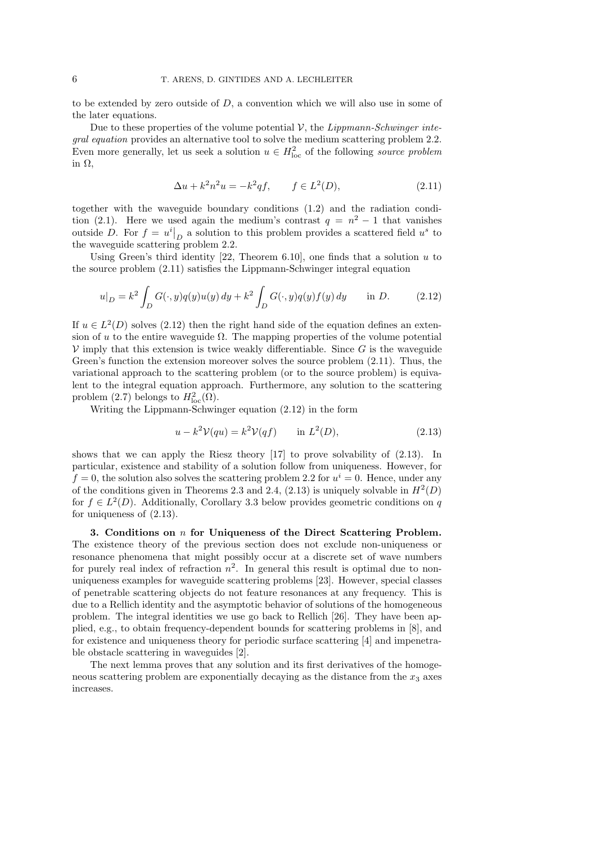to be extended by zero outside of  $D$ , a convention which we will also use in some of the later equations.

Due to these properties of the volume potential  $\mathcal V$ , the *Lippmann-Schwinger integral equation* provides an alternative tool to solve the medium scattering problem 2.2. Even more generally, let us seek a solution  $u \in H^2_{loc}$  of the following *source problem* in Ω,

$$
\Delta u + k^2 n^2 u = -k^2 q f, \qquad f \in L^2(D), \tag{2.11}
$$

together with the waveguide boundary conditions (1.2) and the radiation condition (2.1). Here we used again the medium's contrast  $q = n^2 - 1$  that vanishes outside D. For  $f = u^i\vert_D$  a solution to this problem provides a scattered field  $u^s$  to the waveguide scattering problem 2.2.

Using Green's third identity  $[22,$  Theorem 6.10], one finds that a solution u to the source problem (2.11) satisfies the Lippmann-Schwinger integral equation

$$
u|_{D} = k^{2} \int_{D} G(\cdot, y)q(y)u(y) dy + k^{2} \int_{D} G(\cdot, y)q(y)f(y) dy \quad \text{in } D.
$$
 (2.12)

If  $u \in L^2(D)$  solves (2.12) then the right hand side of the equation defines an extension of u to the entire waveguide  $\Omega$ . The mapping properties of the volume potential  $\mathcal V$  imply that this extension is twice weakly differentiable. Since G is the waveguide Green's function the extension moreover solves the source problem (2.11). Thus, the variational approach to the scattering problem (or to the source problem) is equivalent to the integral equation approach. Furthermore, any solution to the scattering problem (2.7) belongs to  $H^2_{\text{loc}}(\Omega)$ .

Writing the Lippmann-Schwinger equation (2.12) in the form

$$
u - k2 V(qu) = k2 V(qf) \qquad \text{in } L2(D), \tag{2.13}
$$

shows that we can apply the Riesz theory [17] to prove solvability of (2.13). In particular, existence and stability of a solution follow from uniqueness. However, for  $f = 0$ , the solution also solves the scattering problem 2.2 for  $u^i = 0$ . Hence, under any of the conditions given in Theorems 2.3 and 2.4,  $(2.13)$  is uniquely solvable in  $H<sup>2</sup>(D)$ for  $f \in L^2(D)$ . Additionally, Corollary 3.3 below provides geometric conditions on q for uniqueness of (2.13).

3. Conditions on  $n$  for Uniqueness of the Direct Scattering Problem. The existence theory of the previous section does not exclude non-uniqueness or resonance phenomena that might possibly occur at a discrete set of wave numbers for purely real index of refraction  $n^2$ . In general this result is optimal due to nonuniqueness examples for waveguide scattering problems [23]. However, special classes of penetrable scattering objects do not feature resonances at any frequency. This is due to a Rellich identity and the asymptotic behavior of solutions of the homogeneous problem. The integral identities we use go back to Rellich [26]. They have been applied, e.g., to obtain frequency-dependent bounds for scattering problems in [8], and for existence and uniqueness theory for periodic surface scattering [4] and impenetrable obstacle scattering in waveguides [2].

The next lemma proves that any solution and its first derivatives of the homogeneous scattering problem are exponentially decaying as the distance from the  $x_3$  axes increases.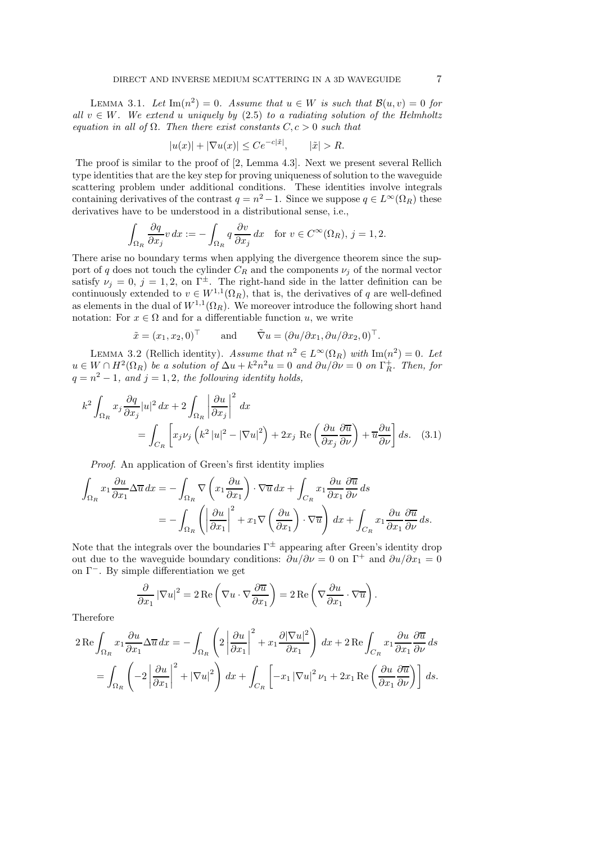LEMMA 3.1. Let  $\text{Im}(n^2) = 0$ . Assume that  $u \in W$  is such that  $\mathcal{B}(u, v) = 0$  for *all*  $v \in W$ *. We extend u uniquely by* (2.5) *to a radiating solution of the Helmholtz equation in all of*  $\Omega$ *. Then there exist constants*  $C, c > 0$  *such that* 

$$
|u(x)| + |\nabla u(x)| \le Ce^{-c|\tilde{x}|}, \qquad |\tilde{x}| > R.
$$

The proof is similar to the proof of [2, Lemma 4.3]. Next we present several Rellich type identities that are the key step for proving uniqueness of solution to the waveguide scattering problem under additional conditions. These identities involve integrals containing derivatives of the contrast  $q = n^2 - 1$ . Since we suppose  $q \in L^{\infty}(\Omega_R)$  these derivatives have to be understood in a distributional sense, i.e.,

$$
\int_{\Omega_R} \frac{\partial q}{\partial x_j} v \, dx := -\int_{\Omega_R} q \, \frac{\partial v}{\partial x_j} \, dx \quad \text{for } v \in C^\infty(\Omega_R), \, j = 1, 2.
$$

There arise no boundary terms when applying the divergence theorem since the support of q does not touch the cylinder  $C_R$  and the components  $\nu_i$  of the normal vector satisfy  $\nu_i = 0, j = 1, 2,$  on  $\Gamma^{\pm}$ . The right-hand side in the latter definition can be continuously extended to  $v \in W^{1,1}(\Omega_R)$ , that is, the derivatives of q are well-defined as elements in the dual of  $W^{1,1}(\Omega_R)$ . We moreover introduce the following short hand notation: For  $x \in \Omega$  and for a differentiable function u, we write

$$
\tilde{x} = (x_1, x_2, 0)^{\top}
$$
 and  $\tilde{\nabla} u = (\partial u / \partial x_1, \partial u / \partial x_2, 0)^{\top}.$ 

LEMMA 3.2 (Rellich identity). *Assume that*  $n^2 \in L^{\infty}(\Omega_R)$  *with*  $\text{Im}(n^2) = 0$ . Let  $u \in W \cap H^2(\Omega_R)$  *be a solution of*  $\Delta u + k^2 n^2 u = 0$  *and*  $\partial u / \partial \nu = 0$  *on*  $\Gamma_R^+$ *. Then, for*  $q = n^2 - 1$ , and  $j = 1, 2$ , the following identity holds,

$$
k^{2} \int_{\Omega_{R}} x_{j} \frac{\partial q}{\partial x_{j}} |u|^{2} dx + 2 \int_{\Omega_{R}} \left| \frac{\partial u}{\partial x_{j}} \right|^{2} dx
$$
  
= 
$$
\int_{C_{R}} \left[ x_{j} \nu_{j} \left( k^{2} |u|^{2} - |\nabla u|^{2} \right) + 2x_{j} \operatorname{Re} \left( \frac{\partial u}{\partial x_{j}} \frac{\partial \overline{u}}{\partial \nu} \right) + \overline{u} \frac{\partial u}{\partial \nu} \right] ds.
$$
 (3.1)

*Proof*. An application of Green's first identity implies

$$
\int_{\Omega_R} x_1 \frac{\partial u}{\partial x_1} \Delta \overline{u} \, dx = -\int_{\Omega_R} \nabla \left( x_1 \frac{\partial u}{\partial x_1} \right) \cdot \nabla \overline{u} \, dx + \int_{C_R} x_1 \frac{\partial u}{\partial x_1} \frac{\partial \overline{u}}{\partial \nu} \, ds
$$
\n
$$
= -\int_{\Omega_R} \left( \left| \frac{\partial u}{\partial x_1} \right|^2 + x_1 \nabla \left( \frac{\partial u}{\partial x_1} \right) \cdot \nabla \overline{u} \right) \, dx + \int_{C_R} x_1 \frac{\partial u}{\partial x_1} \frac{\partial \overline{u}}{\partial \nu} \, ds.
$$

Note that the integrals over the boundaries  $\Gamma^{\pm}$  appearing after Green's identity drop out due to the waveguide boundary conditions:  $\partial u/\partial \nu = 0$  on  $\Gamma^+$  and  $\partial u/\partial x_1 = 0$ on Γ<sup>−</sup>. By simple differentiation we get

$$
\frac{\partial}{\partial x_1} |\nabla u|^2 = 2 \operatorname{Re} \left( \nabla u \cdot \nabla \frac{\partial \overline{u}}{\partial x_1} \right) = 2 \operatorname{Re} \left( \nabla \frac{\partial u}{\partial x_1} \cdot \nabla \overline{u} \right).
$$

Therefore

$$
2 \operatorname{Re} \int_{\Omega_R} x_1 \frac{\partial u}{\partial x_1} \Delta \overline{u} \, dx = - \int_{\Omega_R} \left( 2 \left| \frac{\partial u}{\partial x_1} \right|^2 + x_1 \frac{\partial |\nabla u|^2}{\partial x_1} \right) \, dx + 2 \operatorname{Re} \int_{C_R} x_1 \frac{\partial u}{\partial x_1} \frac{\partial \overline{u}}{\partial \nu} \, ds
$$
  
= 
$$
\int_{\Omega_R} \left( -2 \left| \frac{\partial u}{\partial x_1} \right|^2 + |\nabla u|^2 \right) \, dx + \int_{C_R} \left[ -x_1 |\nabla u|^2 \, \nu_1 + 2x_1 \operatorname{Re} \left( \frac{\partial u}{\partial x_1} \frac{\partial \overline{u}}{\partial \nu} \right) \right] \, ds.
$$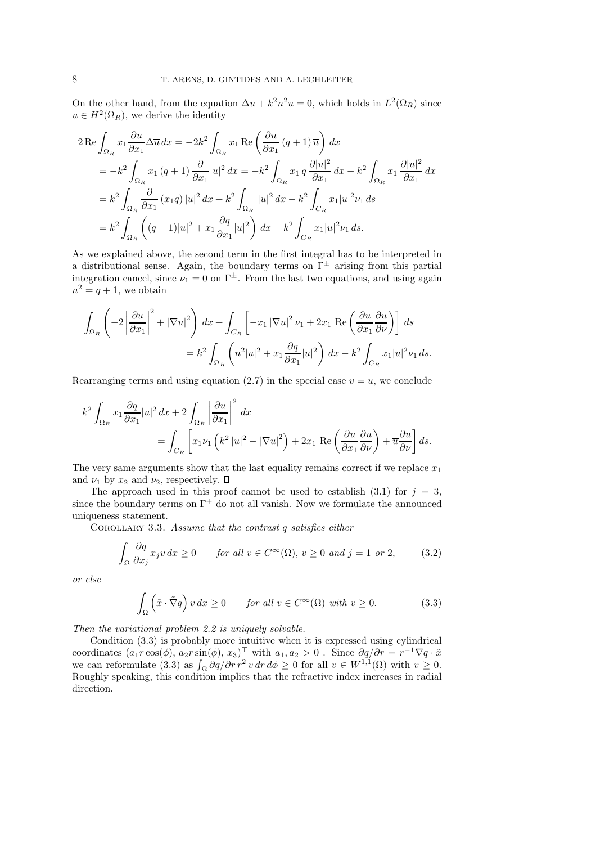On the other hand, from the equation  $\Delta u + k^2 n^2 u = 0$ , which holds in  $L^2(\Omega_R)$  since  $u \in H^2(\Omega_R)$ , we derive the identity

$$
2 \operatorname{Re} \int_{\Omega_R} x_1 \frac{\partial u}{\partial x_1} \Delta \overline{u} \, dx = -2k^2 \int_{\Omega_R} x_1 \operatorname{Re} \left( \frac{\partial u}{\partial x_1} (q+1) \overline{u} \right) \, dx
$$
  
\n
$$
= -k^2 \int_{\Omega_R} x_1 (q+1) \frac{\partial}{\partial x_1} |u|^2 \, dx = -k^2 \int_{\Omega_R} x_1 q \frac{\partial |u|^2}{\partial x_1} \, dx - k^2 \int_{\Omega_R} x_1 \frac{\partial |u|^2}{\partial x_1} \, dx
$$
  
\n
$$
= k^2 \int_{\Omega_R} \frac{\partial}{\partial x_1} (x_1 q) |u|^2 \, dx + k^2 \int_{\Omega_R} |u|^2 \, dx - k^2 \int_{C_R} x_1 |u|^2 \nu_1 \, ds
$$
  
\n
$$
= k^2 \int_{\Omega_R} \left( (q+1) |u|^2 + x_1 \frac{\partial q}{\partial x_1} |u|^2 \right) \, dx - k^2 \int_{C_R} x_1 |u|^2 \nu_1 \, ds.
$$

As we explained above, the second term in the first integral has to be interpreted in a distributional sense. Again, the boundary terms on  $\Gamma^{\pm}$  arising from this partial integration cancel, since  $\nu_1 = 0$  on  $\Gamma^{\pm}$ . From the last two equations, and using again  $n^2 = q + 1$ , we obtain

$$
\int_{\Omega_R} \left( -2 \left| \frac{\partial u}{\partial x_1} \right|^2 + |\nabla u|^2 \right) dx + \int_{C_R} \left[ -x_1 |\nabla u|^2 \nu_1 + 2x_1 \text{ Re} \left( \frac{\partial u}{\partial x_1} \frac{\partial \overline{u}}{\partial \nu} \right) \right] ds
$$
  

$$
= k^2 \int_{\Omega_R} \left( n^2 |u|^2 + x_1 \frac{\partial q}{\partial x_1} |u|^2 \right) dx - k^2 \int_{C_R} x_1 |u|^2 \nu_1 ds.
$$

Rearranging terms and using equation (2.7) in the special case  $v = u$ , we conclude

$$
k^{2} \int_{\Omega_{R}} x_{1} \frac{\partial q}{\partial x_{1}} |u|^{2} dx + 2 \int_{\Omega_{R}} \left| \frac{\partial u}{\partial x_{1}} \right|^{2} dx
$$
  
= 
$$
\int_{C_{R}} \left[ x_{1} \nu_{1} \left( k^{2} |u|^{2} - |\nabla u|^{2} \right) + 2x_{1} \operatorname{Re} \left( \frac{\partial u}{\partial x_{1}} \frac{\partial \overline{u}}{\partial \nu} \right) + \overline{u} \frac{\partial u}{\partial \nu} \right] ds.
$$

The very same arguments show that the last equality remains correct if we replace  $x_1$ and  $\nu_1$  by  $x_2$  and  $\nu_2$ , respectively.  $\Box$ 

The approach used in this proof cannot be used to establish (3.1) for  $j = 3$ , since the boundary terms on  $\Gamma^+$  do not all vanish. Now we formulate the announced uniqueness statement.

Corollary 3.3. *Assume that the contrast* q *satisfies either*

$$
\int_{\Omega} \frac{\partial q}{\partial x_j} x_j v \, dx \ge 0 \qquad \text{for all } v \in C^{\infty}(\Omega), \, v \ge 0 \text{ and } j = 1 \text{ or } 2,\tag{3.2}
$$

*or else*

$$
\int_{\Omega} \left( \tilde{x} \cdot \tilde{\nabla} q \right) v \, dx \ge 0 \qquad \text{for all } v \in C^{\infty}(\Omega) \text{ with } v \ge 0. \tag{3.3}
$$

*Then the variational problem 2.2 is uniquely solvable.*

Condition (3.3) is probably more intuitive when it is expressed using cylindrical coordinates  $(a_1r\cos(\phi), a_2r\sin(\phi), x_3)$ <sup>T</sup> with  $a_1, a_2 > 0$ . Since  $\partial q/\partial r = r^{-1}\nabla q \cdot \tilde{x}$ we can reformulate (3.3) as  $\int_{\Omega} \frac{\partial q}{\partial r} r^2 v dr d\phi \ge 0$  for all  $v \in W^{1,1}(\Omega)$  with  $v \ge 0$ . Roughly speaking, this condition implies that the refractive index increases in radial direction.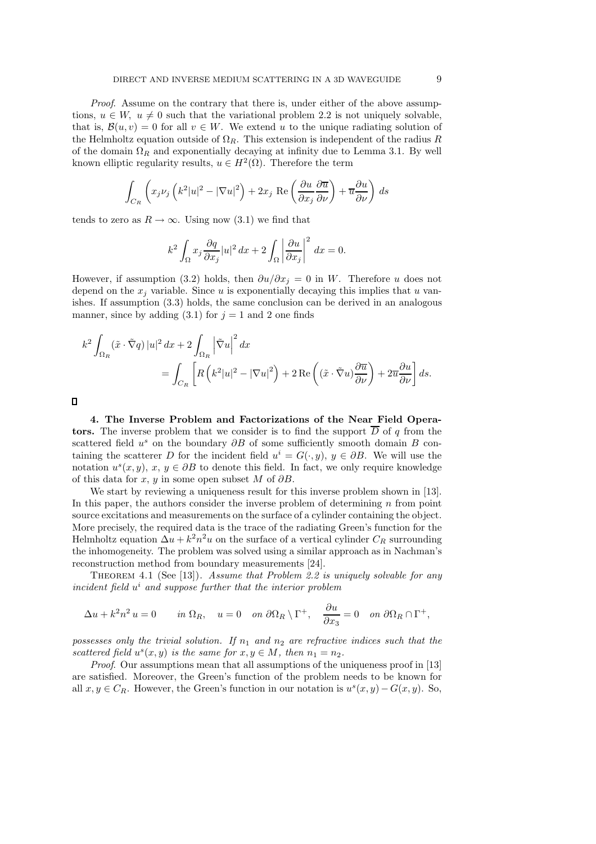*Proof*. Assume on the contrary that there is, under either of the above assumptions,  $u \in W$ ,  $u \neq 0$  such that the variational problem 2.2 is not uniquely solvable, that is,  $\mathcal{B}(u, v) = 0$  for all  $v \in W$ . We extend u to the unique radiating solution of the Helmholtz equation outside of  $\Omega_R$ . This extension is independent of the radius R of the domain  $\Omega_R$  and exponentially decaying at infinity due to Lemma 3.1. By well known elliptic regularity results,  $u \in H^2(\Omega)$ . Therefore the term

$$
\int_{C_R} \left( x_j \nu_j \left( k^2 |u|^2 - |\nabla u|^2 \right) + 2x_j \text{ Re} \left( \frac{\partial u}{\partial x_j} \frac{\partial \overline{u}}{\partial \nu} \right) + \overline{u} \frac{\partial u}{\partial \nu} \right) ds
$$

tends to zero as  $R \to \infty$ . Using now (3.1) we find that

$$
k^2 \int_{\Omega} x_j \frac{\partial q}{\partial x_j} |u|^2 dx + 2 \int_{\Omega} \left| \frac{\partial u}{\partial x_j} \right|^2 dx = 0.
$$

However, if assumption (3.2) holds, then  $\partial u/\partial x_i = 0$  in W. Therefore u does not depend on the  $x_i$  variable. Since u is exponentially decaying this implies that u vanishes. If assumption (3.3) holds, the same conclusion can be derived in an analogous manner, since by adding (3.1) for  $j = 1$  and 2 one finds

$$
k^{2} \int_{\Omega_{R}} (\tilde{x} \cdot \tilde{\nabla} q) |u|^{2} dx + 2 \int_{\Omega_{R}} \left| \tilde{\nabla} u \right|^{2} dx
$$
  
= 
$$
\int_{C_{R}} \left[ R \left( k^{2} |u|^{2} - |\nabla u|^{2} \right) + 2 \operatorname{Re} \left( (\tilde{x} \cdot \tilde{\nabla} u) \frac{\partial \overline{u}}{\partial \nu} \right) + 2 \overline{u} \frac{\partial u}{\partial \nu} \right] ds.
$$

4. The Inverse Problem and Factorizations of the Near Field Operators. The inverse problem that we consider is to find the support  $\overline{D}$  of q from the scattered field  $u^s$  on the boundary  $\partial B$  of some sufficiently smooth domain B containing the scatterer D for the incident field  $u^i = G(\cdot, y)$ ,  $y \in \partial B$ . We will use the notation  $u^s(x, y)$ ,  $x, y \in \partial B$  to denote this field. In fact, we only require knowledge of this data for x, y in some open subset M of  $\partial B$ .

We start by reviewing a uniqueness result for this inverse problem shown in [13]. In this paper, the authors consider the inverse problem of determining  $n$  from point source excitations and measurements on the surface of a cylinder containing the object. More precisely, the required data is the trace of the radiating Green's function for the Helmholtz equation  $\Delta u + k^2 n^2 u$  on the surface of a vertical cylinder  $C_R$  surrounding the inhomogeneity. The problem was solved using a similar approach as in Nachman's reconstruction method from boundary measurements [24].

Theorem 4.1 (See [13]). *Assume that Problem 2.2 is uniquely solvable for any* incident field  $u^i$  and suppose further that the interior problem

$$
\Delta u + k^2 n^2 u = 0 \qquad \text{in } \Omega_R, \quad u = 0 \quad \text{on } \partial \Omega_R \setminus \Gamma^+, \quad \frac{\partial u}{\partial x_3} = 0 \quad \text{on } \partial \Omega_R \cap \Gamma^+,
$$

*possesses only the trivial solution. If*  $n_1$  *and*  $n_2$  *are refractive indices such that the* scattered field  $u^s(x, y)$  is the same for  $x, y \in M$ , then  $n_1 = n_2$ .

*Proof.* Our assumptions mean that all assumptions of the uniqueness proof in [13] are satisfied. Moreover, the Green's function of the problem needs to be known for all  $x, y \in C_R$ . However, the Green's function in our notation is  $u^s(x, y) - G(x, y)$ . So,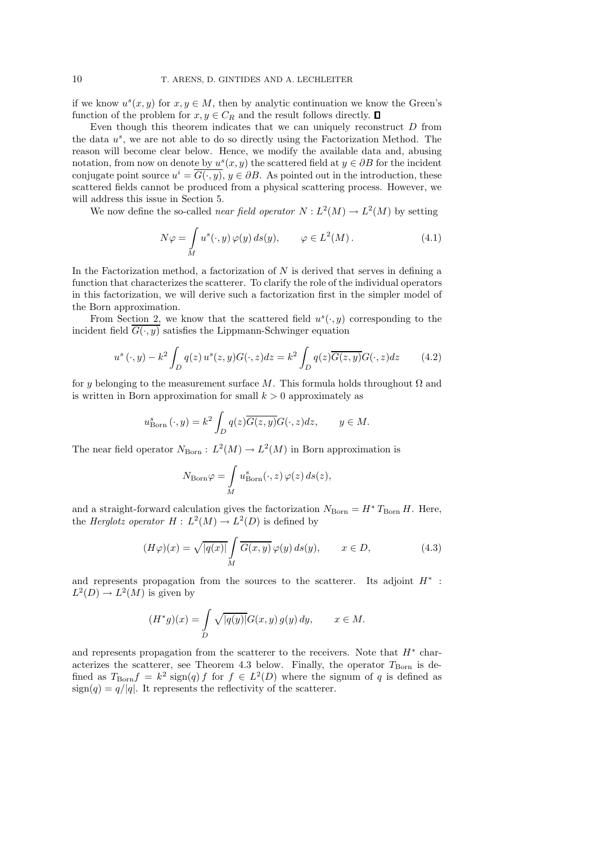if we know  $u^s(x, y)$  for  $x, y \in M$ , then by analytic continuation we know the Green's function of the problem for  $x, y \in C_R$  and the result follows directly.  $\Box$ 

Even though this theorem indicates that we can uniquely reconstruct  $D$  from the data  $u^s$ , we are not able to do so directly using the Factorization Method. The reason will become clear below. Hence, we modify the available data and, abusing notation, from now on denote by  $u^s(x, y)$  the scattered field at  $y \in \partial B$  for the incident conjugate point source  $u^i = \overline{G(\cdot, y)}$ ,  $y \in \partial B$ . As pointed out in the introduction, these scattered fields cannot be produced from a physical scattering process. However, we will address this issue in Section 5.

We now define the so-called *near field operator*  $N: L^2(M) \to L^2(M)$  by setting

$$
N\varphi = \int_{M} u^{s}(\cdot, y) \varphi(y) ds(y), \qquad \varphi \in L^{2}(M). \tag{4.1}
$$

In the Factorization method, a factorization of  $N$  is derived that serves in defining a function that characterizes the scatterer. To clarify the role of the individual operators in this factorization, we will derive such a factorization first in the simpler model of the Born approximation.

From Section 2, we know that the scattered field  $u^s(\cdot, y)$  corresponding to the incident field  $G(\cdot, y)$  satisfies the Lippmann-Schwinger equation

$$
u^{s}(\cdot,y) - k^{2} \int_{D} q(z) u^{s}(z,y) G(\cdot,z) dz = k^{2} \int_{D} q(z) \overline{G(z,y)} G(\cdot,z) dz \qquad (4.2)
$$

for y belonging to the measurement surface M. This formula holds throughout  $\Omega$  and is written in Born approximation for small  $k > 0$  approximately as

$$
u_{\text{Born}}^s(\cdot, y) = k^2 \int_D q(z) \overline{G(z, y)} G(\cdot, z) dz, \qquad y \in M.
$$

The near field operator  $N_{\text{Born}}: L^2(M) \to L^2(M)$  in Born approximation is

$$
N_{\text{Born}}\varphi = \int\limits_M u_{\text{Born}}^s(\cdot, z) \, \varphi(z) \, ds(z),
$$

and a straight-forward calculation gives the factorization  $N_{\text{Born}} = H^* T_{\text{Born}} H$ . Here, the *Herglotz operator*  $H: L^2(M) \to L^2(D)$  is defined by

$$
(H\varphi)(x) = \sqrt{|q(x)|} \int\limits_M \overline{G(x,y)} \varphi(y) \, ds(y), \qquad x \in D,\tag{4.3}
$$

and represents propagation from the sources to the scatterer. Its adjoint  $H^*$ :  $L^2(D) \to L^2(M)$  is given by

$$
(H^*g)(x) = \int\limits_D \sqrt{|q(y)|} G(x, y) g(y) dy, \qquad x \in M.
$$

and represents propagation from the scatterer to the receivers. Note that  $H^*$  characterizes the scatterer, see Theorem 4.3 below. Finally, the operator  $T_{\text{Born}}$  is defined as  $T_{\text{Born}}f = k^2 \operatorname{sign}(q) f$  for  $f \in L^2(D)$  where the signum of q is defined as  $sign(q) = q/|q|$ . It represents the reflectivity of the scatterer.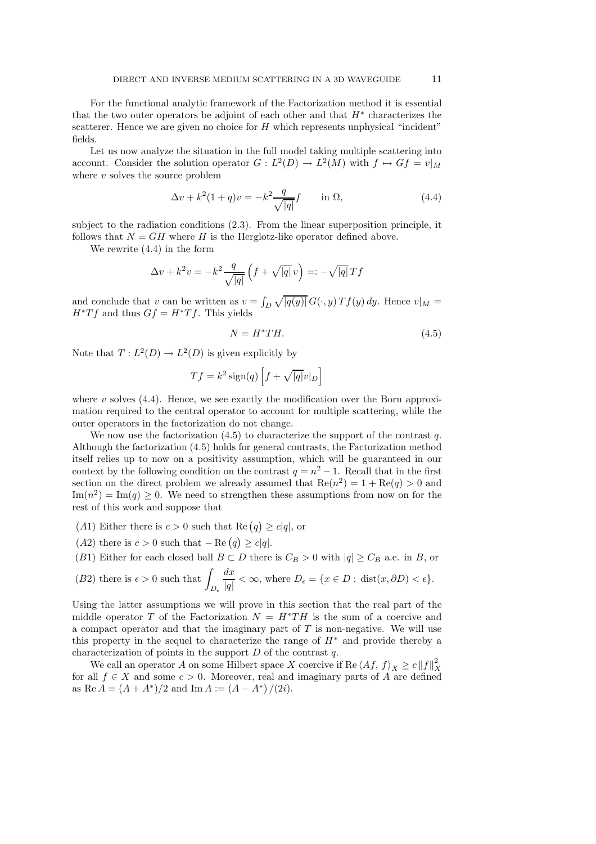For the functional analytic framework of the Factorization method it is essential that the two outer operators be adjoint of each other and that  $H^*$  characterizes the scatterer. Hence we are given no choice for  $H$  which represents unphysical "incident" fields.

Let us now analyze the situation in the full model taking multiple scattering into account. Consider the solution operator  $G: L^2(D) \to L^2(M)$  with  $f \mapsto Gf = v|_M$ where  $v$  solves the source problem

$$
\Delta v + k^2 (1+q)v = -k^2 \frac{q}{\sqrt{|q|}} f \quad \text{in } \Omega,
$$
\n(4.4)

subject to the radiation conditions (2.3). From the linear superposition principle, it follows that  $N = GH$  where H is the Herglotz-like operator defined above.

We rewrite (4.4) in the form

$$
\Delta v + k^2 v = -k^2 \frac{q}{\sqrt{|q|}} \left( f + \sqrt{|q|} v \right) =: -\sqrt{|q|} T f
$$

and conclude that v can be written as  $v = \int_D \sqrt{|q(y)|} G(\cdot, y) T f(y) dy$ . Hence  $v|_M =$  $H^*Tf$  and thus  $Gf = H^*Tf$ . This yields

$$
N = H^*TH.\tag{4.5}
$$

Note that  $T: L^2(D) \to L^2(D)$  is given explicitly by

$$
Tf = k^2 \operatorname{sign}(q) \left[ f + \sqrt{|q|} v|_D \right]
$$

where  $v$  solves (4.4). Hence, we see exactly the modification over the Born approximation required to the central operator to account for multiple scattering, while the outer operators in the factorization do not change.

We now use the factorization  $(4.5)$  to characterize the support of the contrast q. Although the factorization (4.5) holds for general contrasts, the Factorization method itself relies up to now on a positivity assumption, which will be guaranteed in our context by the following condition on the contrast  $q = n^2 - 1$ . Recall that in the first section on the direct problem we already assumed that  $\text{Re}(n^2) = 1 + \text{Re}(q) > 0$  and  $\text{Im}(n^2) = \text{Im}(q) \geq 0$ . We need to strengthen these assumptions from now on for the rest of this work and suppose that

- (A1) Either there is  $c > 0$  such that Re  $(q) \ge c|q|$ , or
- (A2) there is  $c > 0$  such that  $-\text{Re}(q) \ge c|q|$ .
- (B1) Either for each closed ball  $B \subset D$  there is  $C_B > 0$  with  $|q| \ge C_B$  a.e. in B, or

(B2) there is 
$$
\epsilon > 0
$$
 such that  $\int_{D_{\epsilon}} \frac{dx}{|q|} < \infty$ , where  $D_{\epsilon} = \{x \in D : \text{dist}(x, \partial D) < \epsilon\}.$ 

Using the latter assumptions we will prove in this section that the real part of the middle operator T of the Factorization  $N = H^*TH$  is the sum of a coercive and a compact operator and that the imaginary part of  $T$  is non-negative. We will use this property in the sequel to characterize the range of  $H^*$  and provide thereby a characterization of points in the support  $D$  of the contrast  $q$ .

We call an operator A on some Hilbert space X coercive if Re  $\langle Af, f \rangle_X \ge c \|f\|_X^2$ X for all  $f \in X$  and some  $c > 0$ . Moreover, real and imaginary parts of A are defined as Re  $A = (A + A^*)/2$  and Im  $A := (A - A^*)/(2i)$ .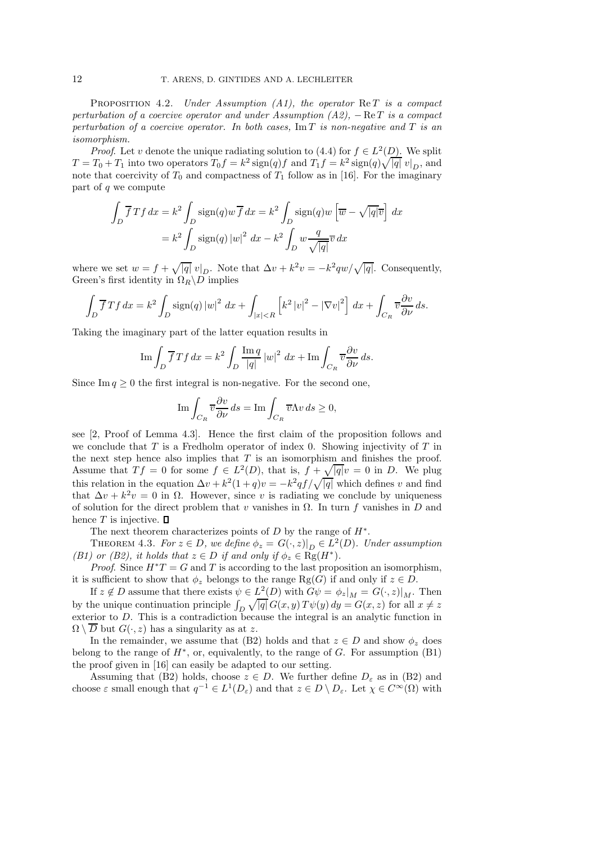PROPOSITION 4.2. *Under Assumption (A1), the operator* ReT *is a compact perturbation of a coercive operator and under Assumption (A2),* − ReT *is a compact perturbation of a coercive operator. In both cases,* Im T *is non-negative and* T *is an isomorphism.*

*Proof.* Let v denote the unique radiating solution to  $(4.4)$  for  $f \in L^2(D)$ . We split  $T = T_0 + T_1$  into two operators  $T_0 f = k^2 \operatorname{sign}(q) f$  and  $T_1 f = k^2 \operatorname{sign}(q) \sqrt{|q|} v|_D$ , and note that coercivity of  $T_0$  and compactness of  $T_1$  follow as in [16]. For the imaginary part of q we compute

$$
\int_{D} \overline{f} T f dx = k^2 \int_{D} \text{sign}(q) w \overline{f} dx = k^2 \int_{D} \text{sign}(q) w \left[ \overline{w} - \sqrt{|q|} \overline{v} \right] dx
$$

$$
= k^2 \int_{D} \text{sign}(q) |w|^2 dx - k^2 \int_{D} w \frac{q}{\sqrt{|q|}} \overline{v} dx
$$

where we set  $w = f + \sqrt{|q|} v|_D$ . Note that  $\Delta v + k^2 v = -k^2 q w / \sqrt{|q|}$ . Consequently, Green's first identity in  $\Omega_R \backslash D$  implies

$$
\int_D \overline{f}Tf \, dx = k^2 \int_D \text{sign}(q) \left|w\right|^2 \, dx + \int_{|x| < R} \left[k^2 \left|v\right|^2 - \left|\nabla v\right|^2\right] \, dx + \int_{C_R} \overline{v} \frac{\partial v}{\partial \nu} \, ds.
$$

Taking the imaginary part of the latter equation results in

$$
\operatorname{Im} \int_D \overline{f} T f \, dx = k^2 \int_D \frac{\operatorname{Im} q}{|q|} |w|^2 \, dx + \operatorname{Im} \int_{C_R} \overline{v} \frac{\partial v}{\partial \nu} \, ds.
$$

Since Im  $q \geq 0$  the first integral is non-negative. For the second one,

$$
\operatorname{Im} \int_{C_R} \overline{v} \frac{\partial v}{\partial \nu} ds = \operatorname{Im} \int_{C_R} \overline{v} \Lambda v ds \ge 0,
$$

see [2, Proof of Lemma 4.3]. Hence the first claim of the proposition follows and we conclude that  $T$  is a Fredholm operator of index 0. Showing injectivity of  $T$  in the next step hence also implies that  $T$  is an isomorphism and finishes the proof. Assume that  $Tf = 0$  for some  $f \in L^2(D)$ , that is,  $f + \sqrt{|q|}v = 0$  in D. We plug this relation in the equation  $\Delta v + k^2(1+q)v = -k^2qf/\sqrt{|q|}$  which defines v and find that  $\Delta v + k^2 v = 0$  in  $\Omega$ . However, since v is radiating we conclude by uniqueness of solution for the direct problem that v vanishes in  $\Omega$ . In turn f vanishes in D and hence  $T$  is injective.  $\Box$ 

The next theorem characterizes points of  $D$  by the range of  $H^*$ .

THEOREM 4.3. *For*  $z \in D$ , we define  $\phi_z = G(\cdot, z)|_D \in L^2(D)$ . Under assumption *(B1) or (B2), it holds that*  $z \in D$  *if and only if*  $\phi_z \in \text{Rg}(H^*)$ .

*Proof.* Since  $H^*T = G$  and T is according to the last proposition an isomorphism, it is sufficient to show that  $\phi_z$  belongs to the range Rg(G) if and only if  $z \in D$ .

If  $z \notin D$  assume that there exists  $\psi \in L^2(D)$  with  $G\psi = \phi_z|_M = G(\cdot, z)|_M$ . Then by the unique continuation principle  $\int_D \sqrt{|q|} G(x, y) T\psi(y) dy = G(x, z)$  for all  $x \neq z$ exterior to D. This is a contradiction because the integral is an analytic function in  $\Omega \setminus \overline{D}$  but  $G(\cdot, z)$  has a singularity as at z.

In the remainder, we assume that (B2) holds and that  $z \in D$  and show  $\phi_z$  does belong to the range of  $H^*$ , or, equivalently, to the range of  $G$ . For assumption  $(B1)$ the proof given in [16] can easily be adapted to our setting.

Assuming that (B2) holds, choose  $z \in D$ . We further define  $D_{\varepsilon}$  as in (B2) and choose  $\varepsilon$  small enough that  $q^{-1} \in L^1(D_\varepsilon)$  and that  $z \in D \setminus D_\varepsilon$ . Let  $\chi \in C^\infty(\Omega)$  with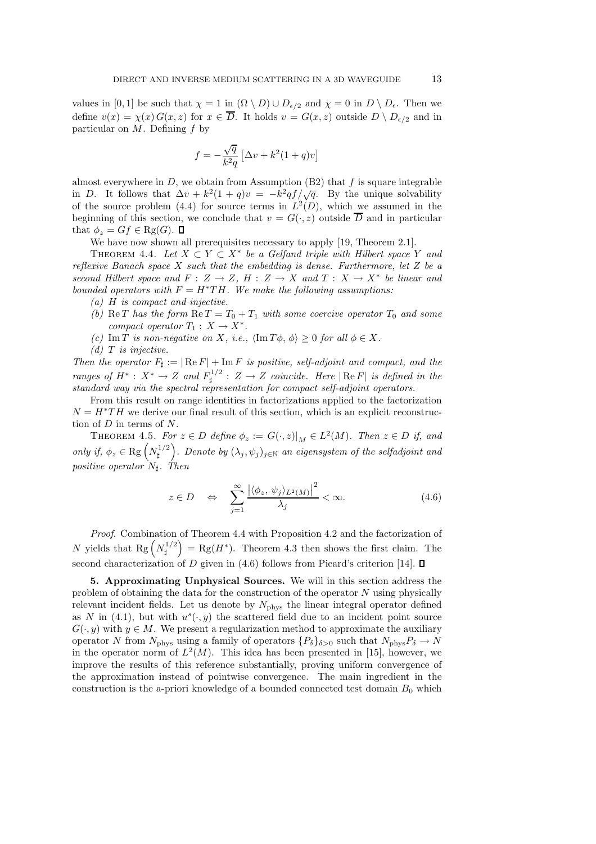values in [0, 1] be such that  $\chi = 1$  in  $(\Omega \setminus D) \cup D_{\epsilon/2}$  and  $\chi = 0$  in  $D \setminus D_{\epsilon}$ . Then we define  $v(x) = \chi(x) G(x, z)$  for  $x \in \overline{D}$ . It holds  $v = G(x, z)$  outside  $D \setminus D_{\epsilon/2}$  and in particular on  $M$ . Defining  $f$  by

$$
f=-\frac{\sqrt{q}}{k^2q}\left[\Delta v+k^2(1+q)v\right]
$$

almost everywhere in  $D$ , we obtain from Assumption (B2) that f is square integrable in D. It follows that  $\Delta v + k^2(1+q)v = -k^2qf/\sqrt{q}$ . By the unique solvability of the source problem (4.4) for source terms in  $L^2(D)$ , which we assumed in the beginning of this section, we conclude that  $v = G(\cdot, z)$  outside  $\overline{D}$  and in particular that  $\phi_z = Gf \in \text{Rg}(G)$ .  $\Box$ 

We have now shown all prerequisites necessary to apply [19, Theorem 2.1].

THEOREM 4.4. Let  $X \subset Y \subset X^*$  be a Gelfand triple with Hilbert space Y and *reflexive Banach space* X *such that the embedding is dense. Furthermore, let* Z *be a second Hilbert space and*  $F: Z \to Z$ ,  $H: Z \to X$  and  $T: X \to X^*$  be linear and *bounded operators with*  $F = H^*TH$ *. We make the following assumptions:* 

- *(a)* H *is compact and injective.*
- *(b)* Re T has the form  $\text{Re } T = T_0 + T_1$  with some coercive operator  $T_0$  and some *compact operator*  $T_1: X \to X^*$ .
- *(c)* Im T *is non-negative on* X, *i.e.*,  $\langle \text{Im } T\phi, \phi \rangle \geq 0$  *for all*  $\phi \in X$ .
- *(d)* T *is injective.*

*Then the operator*  $F_{\sharp} := |\operatorname{Re} F| + \operatorname{Im} F$  *is positive, self-adjoint and compact, and the ranges of*  $H^*$ :  $X^*$  →  $Z$  *and*  $F_{\sharp}^{1/2}$  $\mathbb{Z}^{\perp/2}$  :  $Z \to Z$  *coincide. Here*  $|\text{Re } F|$  *is defined in the standard way via the spectral representation for compact self-adjoint operators.*

From this result on range identities in factorizations applied to the factorization  $N = H^*TH$  we derive our final result of this section, which is an explicit reconstruction of  $D$  in terms of  $N$ .

THEOREM 4.5. *For*  $z \in D$  *define*  $\phi_z := G(\cdot, z)|_M \in L^2(M)$ *. Then*  $z \in D$  *if, and only if,*  $\phi_z \in \text{Rg} \left( N_{\sharp}^{1/2} \right)$  $\binom{1}{\sharp}$ . Denote by  $(\lambda_j, \psi_j)_{j \in \mathbb{N}}$  an eigensystem of the selfadjoint and *positive operator*  $N<sub>‡</sub>$ *. Then* 

$$
z \in D \quad \Leftrightarrow \quad \sum_{j=1}^{\infty} \frac{\left| \langle \phi_z, \psi_j \rangle_{L^2(M)} \right|^2}{\lambda_j} < \infty. \tag{4.6}
$$

*Proof*. Combination of Theorem 4.4 with Proposition 4.2 and the factorization of N yields that Rg  $\left(N_{\sharp}^{1/2}\right)$  $\mathbb{E}_{\sharp}^{1/2}$  = Rg(H<sup>\*</sup>). Theorem 4.3 then shows the first claim. The second characterization of D given in (4.6) follows from Picard's criterion [14].  $\square$ 

5. Approximating Unphysical Sources. We will in this section address the problem of obtaining the data for the construction of the operator N using physically relevant incident fields. Let us denote by  $N_{\text{phys}}$  the linear integral operator defined as N in (4.1), but with  $u^{s}(\cdot, y)$  the scattered field due to an incident point source  $G(\cdot, y)$  with  $y \in M$ . We present a regularization method to approximate the auxiliary operator N from  $N_{\text{phys}}$  using a family of operators  $\{P_\delta\}_{\delta>0}$  such that  $N_{\text{phys}}P_\delta \to N$ in the operator norm of  $L^2(M)$ . This idea has been presented in [15], however, we improve the results of this reference substantially, proving uniform convergence of the approximation instead of pointwise convergence. The main ingredient in the construction is the a-priori knowledge of a bounded connected test domain  $B_0$  which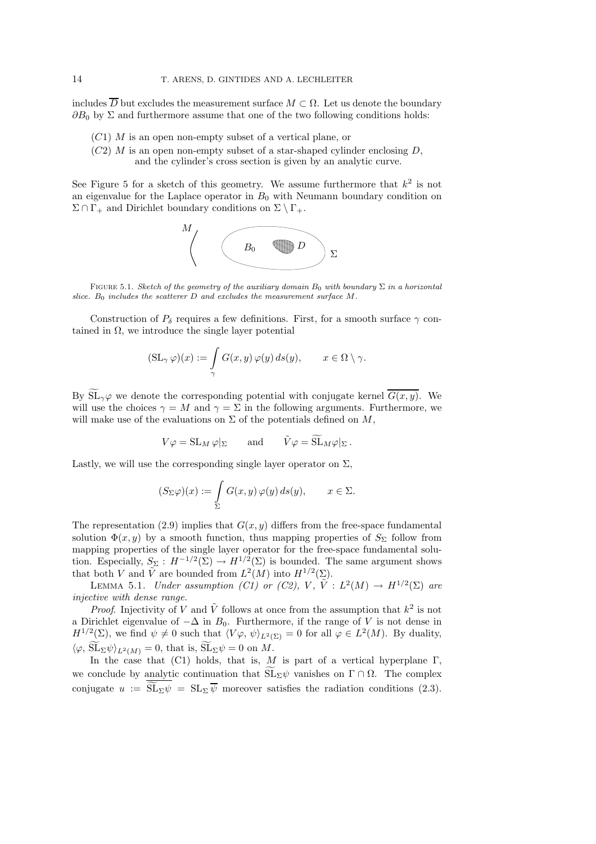includes  $\overline{D}$  but excludes the measurement surface  $M \subset \Omega$ . Let us denote the boundary  $\partial B_0$  by  $\Sigma$  and furthermore assume that one of the two following conditions holds:

- $(C1)$  M is an open non-empty subset of a vertical plane, or
- $(C2)$  M is an open non-empty subset of a star-shaped cylinder enclosing D, and the cylinder's cross section is given by an analytic curve.

See Figure 5 for a sketch of this geometry. We assume furthermore that  $k^2$  is not an eigenvalue for the Laplace operator in  $B_0$  with Neumann boundary condition on  $\Sigma \cap \Gamma_+$  and Dirichlet boundary conditions on  $\Sigma \setminus \Gamma_+$ .



FIGURE 5.1. *Sketch of the geometry of the auxiliary domain*  $B_0$  *with boundary*  $\Sigma$  *in a horizontal* slice.  $B_0$  includes the scatterer  $D$  and excludes the measurement surface  $M$ .

Construction of  $P_{\delta}$  requires a few definitions. First, for a smooth surface  $\gamma$  contained in  $\Omega$ , we introduce the single layer potential

$$
(\mathrm{SL}_{\gamma}\,\varphi)(x) := \int_{\gamma} G(x,y)\,\varphi(y)\,ds(y), \qquad x \in \Omega \setminus \gamma.
$$

By  $\widetilde{\mathrm{SL}}_{\gamma}\varphi$  we denote the corresponding potential with conjugate kernel  $\overline{G(x, y)}$ . We will use the choices  $\gamma = M$  and  $\gamma = \Sigma$  in the following arguments. Furthermore, we will make use of the evaluations on  $\Sigma$  of the potentials defined on  $M$ ,

$$
V\varphi = \mathrm{SL}_M \,\varphi|_{\Sigma} \qquad \text{and} \qquad \tilde{V}\varphi = \widetilde{\mathrm{SL}}_M \varphi|_{\Sigma} \,.
$$

Lastly, we will use the corresponding single layer operator on  $\Sigma$ ,

$$
(S_{\Sigma}\varphi)(x):=\int\limits_{\Sigma}G(x,y)\,\varphi(y)\,ds(y),\qquad x\in\Sigma.
$$

The representation (2.9) implies that  $G(x, y)$  differs from the free-space fundamental solution  $\Phi(x, y)$  by a smooth function, thus mapping properties of  $S_{\Sigma}$  follow from mapping properties of the single layer operator for the free-space fundamental solution. Especially,  $S_{\Sigma}: H^{-1/2}(\Sigma) \to H^{1/2}(\Sigma)$  is bounded. The same argument shows that both V and  $\tilde{V}$  are bounded from  $L^2(M)$  into  $H^{1/2}(\Sigma)$ .

LEMMA 5.1. *Under assumption (C1) or (C2), V,*  $\tilde{V}$  :  $L^2(M) \rightarrow H^{1/2}(\Sigma)$  are *injective with dense range.*

*Proof.* Injectivity of V and  $\tilde{V}$  follows at once from the assumption that  $k^2$  is not a Dirichlet eigenvalue of  $-\Delta$  in  $B_0$ . Furthermore, if the range of V is not dense in  $H^{1/2}(\Sigma)$ , we find  $\psi \neq 0$  such that  $\langle V\varphi, \psi \rangle_{L^2(\Sigma)} = 0$  for all  $\varphi \in L^2(M)$ . By duality,  $\langle \varphi, \widetilde{\mathrm{SL}}_{\Sigma}\psi \rangle_{L^2(M)} = 0$ , that is,  $\widetilde{\mathrm{SL}}_{\Sigma}\psi = 0$  on M.

In the case that (C1) holds, that is, M is part of a vertical hyperplane  $\Gamma$ , we conclude by analytic continuation that  $\widetilde{\mathrm{SL}}_{\Sigma}\psi$  vanishes on  $\Gamma \cap \Omega$ . The complex conjugate  $u := \widetilde{\mathrm{SL}}_{\Sigma} \psi = \mathrm{SL}_{\Sigma} \overline{\psi}$  moreover satisfies the radiation conditions (2.3).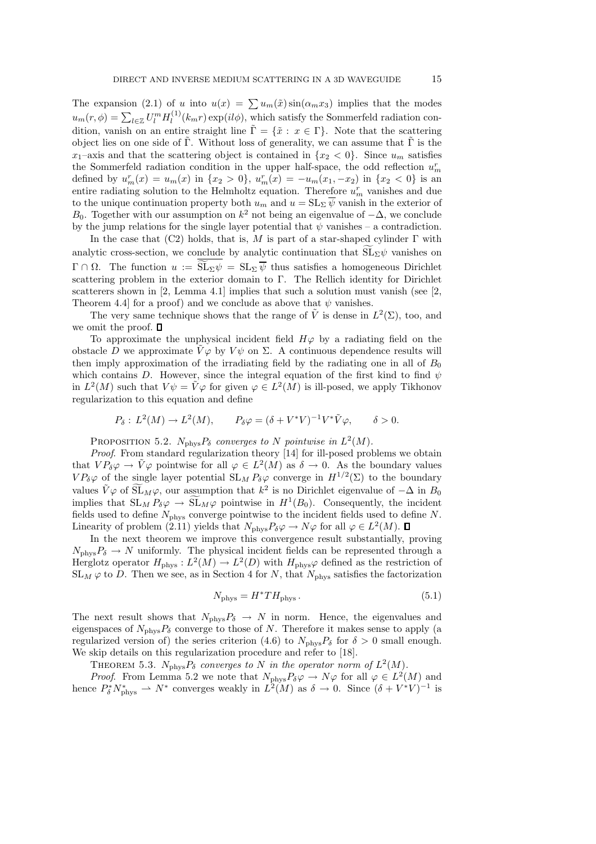The expansion (2.1) of u into  $u(x) = \sum u_m(\tilde{x}) \sin(\alpha_m x_3)$  implies that the modes  $u_m(r, \phi) = \sum_{l \in \mathbb{Z}} U_l^m H_l^{(1)}$  $\ell_l^{(1)}(k_m r) \exp(il\phi)$ , which satisfy the Sommerfeld radiation condition, vanish on an entire straight line  $\tilde{\Gamma} = {\tilde{x}: x \in \Gamma}$ . Note that the scattering object lies on one side of Γ. Without loss of generality, we can assume that  $\Gamma$  is the  $x_1$ -axis and that the scattering object is contained in  $\{x_2 < 0\}$ . Since  $u_m$  satisfies the Sommerfeld radiation condition in the upper half-space, the odd reflection  $u_m^r$ defined by  $u_m^r(x) = u_m(x)$  in  $\{x_2 > 0\}$ ,  $u_m^r(x) = -u_m(x_1, -x_2)$  in  $\{x_2 < 0\}$  is an entire radiating solution to the Helmholtz equation. Therefore  $u_m^r$  vanishes and due to the unique continuation property both  $u_m$  and  $u = SL_{\Sigma} \overline{\psi}$  vanish in the exterior of B<sub>0</sub>. Together with our assumption on  $k^2$  not being an eigenvalue of  $-\Delta$ , we conclude by the jump relations for the single layer potential that  $\psi$  vanishes – a contradiction.

In the case that (C2) holds, that is, M is part of a star-shaped cylinder  $\Gamma$  with analytic cross-section, we conclude by analytic continuation that  $SL_2\psi$  vanishes on  $\Gamma \cap \Omega$ . The function  $u := \widetilde{\mathrm{SL}}_{\Sigma} \psi = \mathrm{SL}_{\Sigma} \overline{\psi}$  thus satisfies a homogeneous Dirichlet scattering problem in the exterior domain to Γ. The Rellich identity for Dirichlet scatterers shown in [2, Lemma 4.1] implies that such a solution must vanish (see [2, Theorem 4.4] for a proof) and we conclude as above that  $\psi$  vanishes.

The very same technique shows that the range of  $\tilde{V}$  is dense in  $L^2(\Sigma)$ , too, and we omit the proof.  $\Box$ 

To approximate the unphysical incident field  $H\varphi$  by a radiating field on the obstacle D we approximate  $V\varphi$  by  $V\psi$  on  $\Sigma$ . A continuous dependence results will then imply approximation of the irradiating field by the radiating one in all of  $B_0$ which contains D. However, since the integral equation of the first kind to find  $\psi$ in  $L^2(M)$  such that  $V\psi = \tilde{V}\varphi$  for given  $\varphi \in L^2(M)$  is ill-posed, we apply Tikhonov regularization to this equation and define

$$
P_{\delta}: L^{2}(M) \to L^{2}(M), \qquad P_{\delta} \varphi = (\delta + V^{*}V)^{-1}V^{*}\tilde{V}\varphi, \qquad \delta > 0.
$$

PROPOSITION 5.2.  $N_{\text{phys}}P_{\delta}$  *converges to* N *pointwise in*  $L^2(M)$ *.* 

*Proof*. From standard regularization theory [14] for ill-posed problems we obtain that  $VP_{\delta} \varphi \to \tilde{V} \varphi$  pointwise for all  $\varphi \in L^2(M)$  as  $\delta \to 0$ . As the boundary values  $VP_{\delta} \varphi$  of the single layer potential  $SL_M P_{\delta} \varphi$  converge in  $H^{1/2}(\Sigma)$  to the boundary values  $\tilde{V}\varphi$  of  $\widetilde{\mathrm{SL}}_M\varphi$ , our assumption that  $k^2$  is no Dirichlet eigenvalue of  $-\Delta$  in  $B_0$ implies that  $SL_M P_\delta \varphi \to SL_M \varphi$  pointwise in  $H^1(B_0)$ . Consequently, the incident fields used to define  $N_{\text{phys}}$  converge pointwise to the incident fields used to define N. Linearity of problem (2.11) yields that  $N_{\text{phys}}P_{\delta}\varphi \to N\varphi$  for all  $\varphi \in L^2(M)$ .

In the next theorem we improve this convergence result substantially, proving  $N_{\text{phys}}P_{\delta} \rightarrow N$  uniformly. The physical incident fields can be represented through a Herglotz operator  $H_{\text{phys}}: L^2(M) \to L^2(D)$  with  $H_{\text{phys}}\varphi$  defined as the restriction of  $SL_M \varphi$  to D. Then we see, as in Section 4 for N, that  $N_{\text{phys}}$  satisfies the factorization

$$
N_{\rm phys} = H^* T H_{\rm phys} \,. \tag{5.1}
$$

The next result shows that  $N_{\text{phys}}P_{\delta} \rightarrow N$  in norm. Hence, the eigenvalues and eigenspaces of  $N_{\text{phys}}P_{\delta}$  converge to those of N. Therefore it makes sense to apply (a regularized version of) the series criterion (4.6) to  $N_{\text{phys}}P_\delta$  for  $\delta > 0$  small enough. We skip details on this regularization procedure and refer to [18].

THEOREM 5.3.  $N_{\text{phys}}P_{\delta}$  converges to N in the operator norm of  $L^2(M)$ .

*Proof.* From Lemma 5.2 we note that  $N_{\text{phys}}P_{\delta\varphi} \to N\varphi$  for all  $\varphi \in L^2(M)$  and hence  $P_{\delta}^* N_{\text{phys}}^* \rightharpoonup N^*$  converges weakly in  $L^2(M)$  as  $\delta \to 0$ . Since  $(\delta + V^*V)^{-1}$  is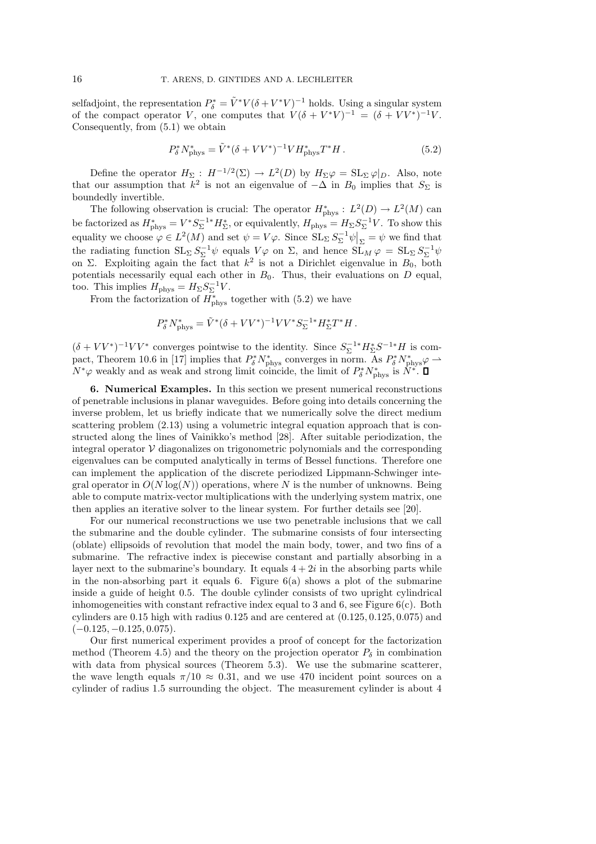selfadjoint, the representation  $P_{\delta}^* = \tilde{V}^* V (\delta + V^* V)^{-1}$  holds. Using a singular system of the compact operator V, one computes that  $V(\delta + V^*V)^{-1} = (\delta + VV^*)^{-1}V$ . Consequently, from (5.1) we obtain

$$
P_{\delta}^* N_{\text{phys}}^* = \tilde{V}^* (\delta + VV^*)^{-1} V H_{\text{phys}}^* T^* H. \tag{5.2}
$$

Define the operator  $H_{\Sigma}$ :  $H^{-1/2}(\Sigma) \to L^2(D)$  by  $H_{\Sigma}\varphi = \mathrm{SL}_{\Sigma}\varphi|_{D}$ . Also, note that our assumption that  $k^2$  is not an eigenvalue of  $-\Delta$  in  $B_0$  implies that  $S_{\Sigma}$  is boundedly invertible.

The following observation is crucial: The operator  $H^*_{\text{phys}}: L^2(D) \to L^2(M)$  can be factorized as  $H^*_{\text{phys}} = V^* S_{\Sigma}^{-1*} H^*_{\Sigma}$ , or equivalently,  $H_{\text{phys}} = H_{\Sigma} S_{\Sigma}^{-1} V$ . To show this equality we choose  $\varphi \in L^2(M)$  and set  $\psi = V\varphi$ . Since  $SL_{\Sigma} S_{\Sigma}^{-1} \psi \big|_{\Sigma} = \psi$  we find that the radiating function  $SL_{\Sigma} S_{\Sigma}^{-1} \psi$  equals  $V\varphi$  on  $\Sigma$ , and hence  $SL_M \varphi = SL_{\Sigma} S_{\Sigma}^{-1} \psi$ on Σ. Exploiting again the fact that  $k^2$  is not a Dirichlet eigenvalue in  $B_0$ , both potentials necessarily equal each other in  $B_0$ . Thus, their evaluations on  $D$  equal, too. This implies  $H_{\text{phys}} = H_{\Sigma} S_{\Sigma}^{-1} V$ .

From the factorization of  $H^*_{\text{phys}}$  together with (5.2) we have

$$
P_{\delta}^* N_{\text{phys}}^* = \tilde{V}^* (\delta + VV^*)^{-1} VV^* S_{\Sigma}^{-1*} H_{\Sigma}^* T^* H.
$$

 $(\delta + VV^*)^{-1}VV^*$  converges pointwise to the identity. Since  $S_{\Sigma}^{-1*}H_{\Sigma}^*S^{-1*}H$  is compact, Theorem 10.6 in [17] implies that  $P_{\delta}^* N_{\text{phys}}^*$  converges in norm. As  $P_{\delta}^* N_{\text{phys}}^* \varphi \to$  $N^*\varphi$  weakly and as weak and strong limit coincide, the limit of  $P^*_{\delta}N^*_{\text{phys}}$  is  $N^*$ .

6. Numerical Examples. In this section we present numerical reconstructions of penetrable inclusions in planar waveguides. Before going into details concerning the inverse problem, let us briefly indicate that we numerically solve the direct medium scattering problem (2.13) using a volumetric integral equation approach that is constructed along the lines of Vainikko's method [28]. After suitable periodization, the integral operator  $\mathcal V$  diagonalizes on trigonometric polynomials and the corresponding eigenvalues can be computed analytically in terms of Bessel functions. Therefore one can implement the application of the discrete periodized Lippmann-Schwinger integral operator in  $O(N \log(N))$  operations, where N is the number of unknowns. Being able to compute matrix-vector multiplications with the underlying system matrix, one then applies an iterative solver to the linear system. For further details see [20].

For our numerical reconstructions we use two penetrable inclusions that we call the submarine and the double cylinder. The submarine consists of four intersecting (oblate) ellipsoids of revolution that model the main body, tower, and two fins of a submarine. The refractive index is piecewise constant and partially absorbing in a layer next to the submarine's boundary. It equals  $4 + 2i$  in the absorbing parts while in the non-absorbing part it equals 6. Figure  $6(a)$  shows a plot of the submarine inside a guide of height 0.5. The double cylinder consists of two upright cylindrical inhomogeneities with constant refractive index equal to 3 and 6, see Figure  $6(c)$ . Both cylinders are  $0.15$  high with radius  $0.125$  and are centered at  $(0.125, 0.125, 0.075)$  and  $(-0.125, -0.125, 0.075).$ 

Our first numerical experiment provides a proof of concept for the factorization method (Theorem 4.5) and the theory on the projection operator  $P_{\delta}$  in combination with data from physical sources (Theorem 5.3). We use the submarine scatterer, the wave length equals  $\pi/10 \approx 0.31$ , and we use 470 incident point sources on a cylinder of radius 1.5 surrounding the object. The measurement cylinder is about 4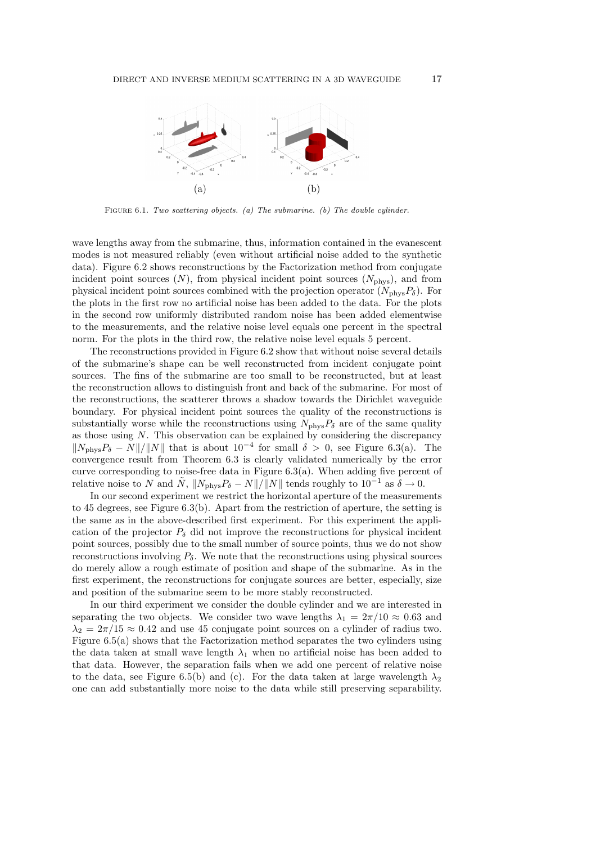

Figure 6.1. *Two scattering objects. (a) The submarine. (b) The double cylinder.*

wave lengths away from the submarine, thus, information contained in the evanescent modes is not measured reliably (even without artificial noise added to the synthetic data). Figure 6.2 shows reconstructions by the Factorization method from conjugate incident point sources  $(N)$ , from physical incident point sources  $(N_{\text{phys}})$ , and from physical incident point sources combined with the projection operator  $(N_{\text{phys}}P_{\delta})$ . For the plots in the first row no artificial noise has been added to the data. For the plots in the second row uniformly distributed random noise has been added elementwise to the measurements, and the relative noise level equals one percent in the spectral norm. For the plots in the third row, the relative noise level equals 5 percent.

The reconstructions provided in Figure 6.2 show that without noise several details of the submarine's shape can be well reconstructed from incident conjugate point sources. The fins of the submarine are too small to be reconstructed, but at least the reconstruction allows to distinguish front and back of the submarine. For most of the reconstructions, the scatterer throws a shadow towards the Dirichlet waveguide boundary. For physical incident point sources the quality of the reconstructions is substantially worse while the reconstructions using  $N_{\text{phys}}P_{\delta}$  are of the same quality as those using N. This observation can be explained by considering the discrepancy  $||N_{\text{phys}}P_{\delta} - N||/||N||$  that is about  $10^{-4}$  for small  $\delta > 0$ , see Figure 6.3(a). The convergence result from Theorem 6.3 is clearly validated numerically by the error curve corresponding to noise-free data in Figure 6.3(a). When adding five percent of relative noise to N and  $\tilde{N}$ ,  $||N_{\text{phys}}P_{\delta} - N||/||N||$  tends roughly to  $10^{-1}$  as  $\delta \to 0$ .

In our second experiment we restrict the horizontal aperture of the measurements to 45 degrees, see Figure 6.3(b). Apart from the restriction of aperture, the setting is the same as in the above-described first experiment. For this experiment the application of the projector  $P_{\delta}$  did not improve the reconstructions for physical incident point sources, possibly due to the small number of source points, thus we do not show reconstructions involving  $P_{\delta}$ . We note that the reconstructions using physical sources do merely allow a rough estimate of position and shape of the submarine. As in the first experiment, the reconstructions for conjugate sources are better, especially, size and position of the submarine seem to be more stably reconstructed.

In our third experiment we consider the double cylinder and we are interested in separating the two objects. We consider two wave lengths  $\lambda_1 = 2\pi/10 \approx 0.63$  and  $\lambda_2 = 2\pi/15 \approx 0.42$  and use 45 conjugate point sources on a cylinder of radius two. Figure 6.5(a) shows that the Factorization method separates the two cylinders using the data taken at small wave length  $\lambda_1$  when no artificial noise has been added to that data. However, the separation fails when we add one percent of relative noise to the data, see Figure 6.5(b) and (c). For the data taken at large wavelength  $\lambda_2$ one can add substantially more noise to the data while still preserving separability.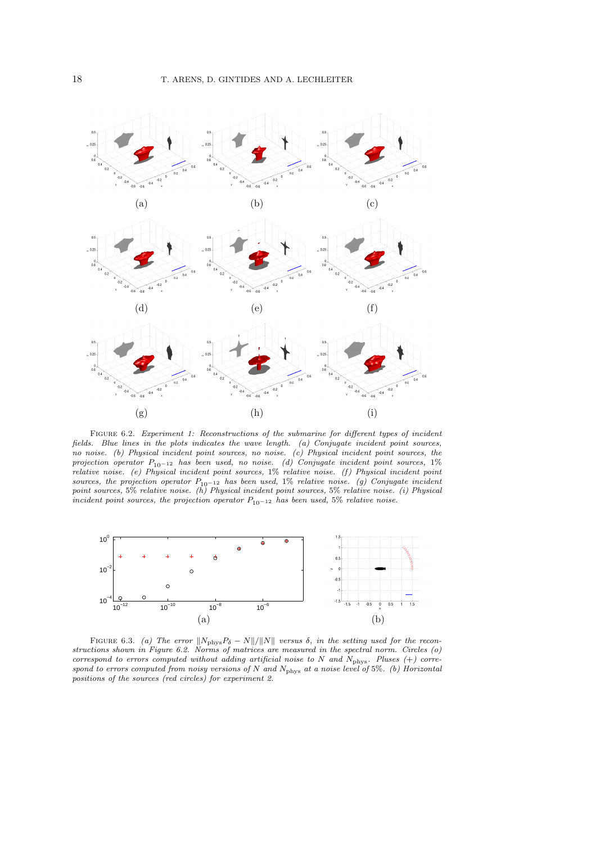

Figure 6.2. *Experiment 1: Reconstructions of the submarine for different types of incident fields. Blue lines in the plots indicates the wave length. (a) Conjugate incident point sources, no noise. (b) Physical incident point sources, no noise. (c) Physical incident point sources, the projection operator* P10−<sup>12</sup> *has been used, no noise. (d) Conjugate incident point sources,* 1% *relative noise. (e) Physical incident point sources,* 1% *relative noise. (f) Physical incident point* sources, the projection operator  $P_{10}$ -12 has been used, 1% relative noise. (g) Conjugate incident point sources, 5% relative noise. (h) Physical incident point sources, 5% relative noise. *incident point sources, the projection operator*  $P_{10-12}$  *has been used,* 5% *relative noise.* 



FIGURE 6.3. *(a)* The error  $||N_{\text{phys}}P_{\delta} - N||/||N||$  versus  $\delta$ , in the setting used for the recon*structions shown in Figure 6.2. Norms of matrices are measured in the spectral norm. Circles (o) correspond to errors computed without adding artificial noise to* N *and* Nphys*. Pluses (*+*) correspond to errors computed from noisy versions of* N *and* Nphys *at a noise level of* 5%*. (b) Horizontal positions of the sources (red circles) for experiment 2.*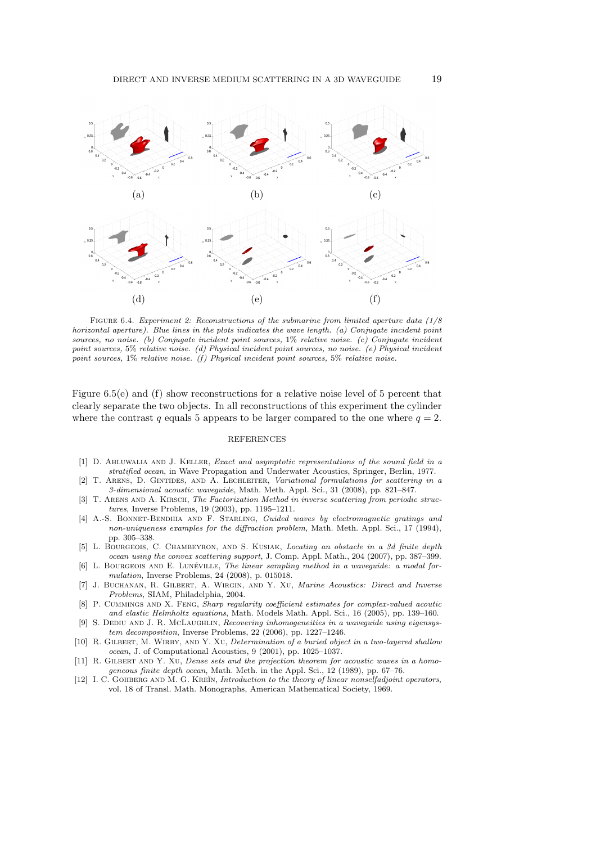

Figure 6.4. *Experiment 2: Reconstructions of the submarine from limited aperture data (1/8 horizontal aperture). Blue lines in the plots indicates the wave length. (a) Conjugate incident point sources, no noise. (b) Conjugate incident point sources,* 1% *relative noise. (c) Conjugate incident point sources,* 5% *relative noise. (d) Physical incident point sources, no noise. (e) Physical incident point sources,* 1% *relative noise. (f) Physical incident point sources,* 5% *relative noise.*

Figure 6.5(e) and (f) show reconstructions for a relative noise level of 5 percent that clearly separate the two objects. In all reconstructions of this experiment the cylinder where the contrast q equals 5 appears to be larger compared to the one where  $q = 2$ .

#### REFERENCES

- [1] D. Ahluwalia and J. Keller, *Exact and asymptotic representations of the sound field in a stratified ocean*, in Wave Propagation and Underwater Acoustics, Springer, Berlin, 1977.
- [2] T. Arens, D. Gintides, and A. Lechleiter, *Variational formulations for scattering in a 3-dimensional acoustic waveguide*, Math. Meth. Appl. Sci., 31 (2008), pp. 821–847.
- [3] T. ARENS AND A. KIRSCH, *The Factorization Method in inverse scattering from periodic structures*, Inverse Problems, 19 (2003), pp. 1195–1211.
- [4] A.-S. Bonnet-Bendhia and F. Starling, *Guided waves by electromagnetic gratings and non-uniqueness examples for the diffraction problem*, Math. Meth. Appl. Sci., 17 (1994), pp. 305–338.
- [5] L. Bourgeois, C. Chambeyron, and S. Kusiak, *Locating an obstacle in a 3d finite depth ocean using the convex scattering support*, J. Comp. Appl. Math., 204 (2007), pp. 387–399.
- [6] L. BOURGEOIS AND E. LUNÉVILLE, *The linear sampling method in a waveguide: a modal formulation*, Inverse Problems, 24 (2008), p. 015018.
- [7] J. Buchanan, R. Gilbert, A. Wirgin, and Y. Xu, *Marine Acoustics: Direct and Inverse Problems*, SIAM, Philadelphia, 2004.
- [8] P. Cummings and X. Feng, *Sharp regularity coefficient estimates for complex-valued acoutic and elastic Helmholtz equations*, Math. Models Math. Appl. Sci., 16 (2005), pp. 139–160.
- [9] S. Dediu and J. R. McLaughlin, *Recovering inhomogeneities in a waveguide using eigensystem decomposition*, Inverse Problems, 22 (2006), pp. 1227–1246.
- [10] R. Gilbert, M. Wirby, and Y. Xu, *Determination of a buried object in a two-layered shallow ocean*, J. of Computational Acoustics, 9 (2001), pp. 1025–1037.
- [11] R. Gilbert and Y. Xu, *Dense sets and the projection theorem for acoustic waves in a homogeneous finite depth ocean*, Math. Meth. in the Appl. Sci., 12 (1989), pp. 67–76.
- [12] I. C. GOHBERG AND M. G. KREĬN, *Introduction to the theory of linear nonselfadjoint operators*, vol. 18 of Transl. Math. Monographs, American Mathematical Society, 1969.